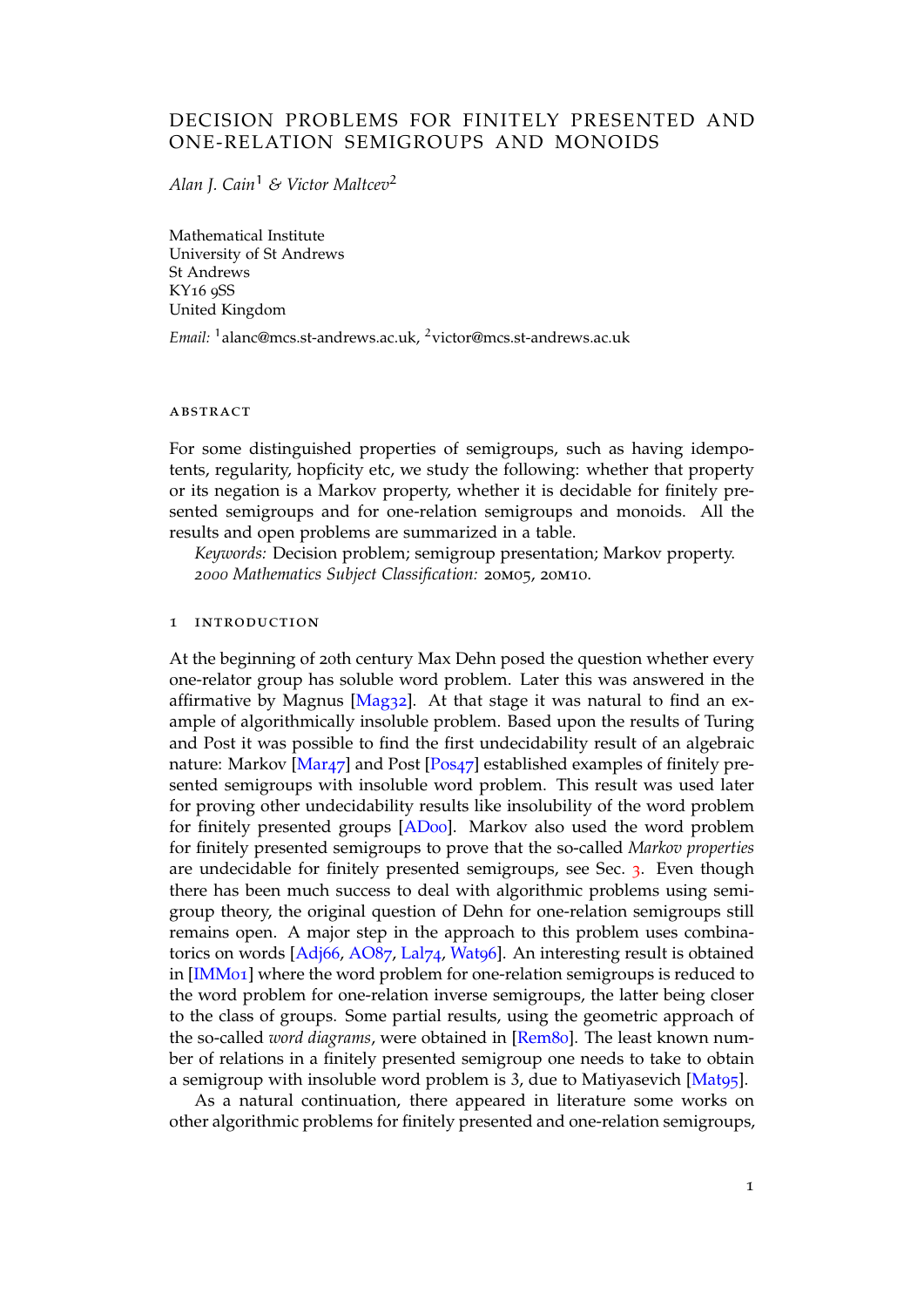# DECISION PROBLEMS FOR FINITELY PRESENTED AND ONE-RELATION SEMIGROUPS AND MONOIDS

*Alan J. Cain*<sup>1</sup> *& Victor Maltcev*<sup>2</sup>

Mathematical Institute University of St Andrews St Andrews KY16 9SS United Kingdom

*Email:* <sup>1</sup>alanc@mcs.st-andrews.ac.uk, <sup>2</sup>victor@mcs.st-andrews.ac.uk

#### abstract

For some distinguished properties of semigroups, such as having idempotents, regularity, hopficity etc, we study the following: whether that property or its negation is a Markov property, whether it is decidable for finitely presented semigroups and for one-relation semigroups and monoids. All the results and open problems are summarized in a table.

*Keywords:* Decision problem; semigroup presentation; Markov property. *2000 Mathematics Subject Classification:* 20m05, 20m10.

## **INTRODUCTION**

At the beginning of 20th century Max Dehn posed the question whether every one-relator group has soluble word problem. Later this was answered in the affirmative by Magnus [Mag32]. At that stage it was natural to find an example of algorithmically insoluble problem. Based upon the results of Turing and Post it was possible to find the first undecidability result of an algebraic nature: Markov [Mar47] and Post [Pos47] established examples of finitely presented semigroups with [insolub](#page-21-0)le word problem. This result was used later for proving other undecidability results like insolubility of the word problem for finitely presented groups [AD00]. Markov also used the word problem for finitely prese[nted se](#page-21-1)migroups [to prov](#page-21-2)e that the so-called *Markov properties* are undecidable for finitely presented semigroups, see Sec. 3. Even though there has been much success to deal with algorithmic problems using semigroup theory, the original que[stion o](#page-20-0)f Dehn for one-relation semigroups still remains open. A major step in the approach to this problem uses combinatorics on words [Adj66, AO87, Lal74, Wat96]. An interesting [res](#page-1-0)ult is obtained in [IMM01] where the word problem for one-relation semigroups is reduced to the word problem for one-relation inverse semigroups, the latter being closer to the class of groups. Some partial results, using the geometric approach of the so-called *wo[rd diagr](#page-20-1)[ams](#page-20-2)*, w[ere obt](#page-21-3)[ained in](#page-21-4) [Rem80]. The least known numbe[r of relat](#page-21-5)ions in a finitely presented semigroup one needs to take to obtain a semigroup with insoluble word problem is 3, due to Matiyasevich [Mat95].

As a natural continuation, there appeared in literature some works on other algorithmic problems for finitely present[ed and o](#page-21-6)ne-relation semigroups,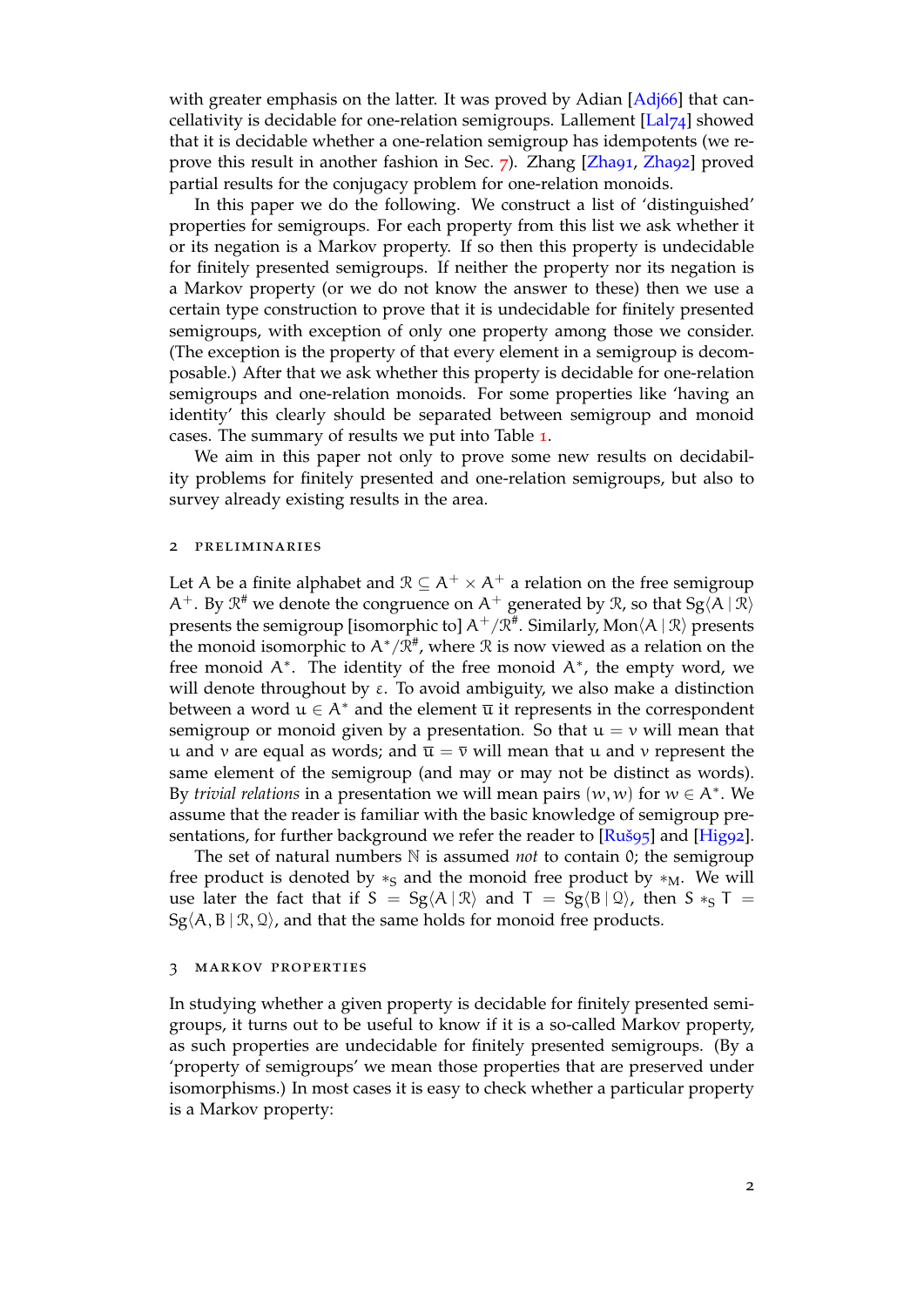with greater emphasis on the latter. It was proved by Adian [Adj66] that cancellativity is decidable for one-relation semigroups. Lallement  $\left[\text{La}|\gamma_4\right]$  showed that it is decidable whether a one-relation semigroup has idempotents (we reprove this result in another fashion in Sec. 7). Zhang [Zha91, Zha92] proved partial results for the conjugacy problem for one-relation mo[noids.](#page-20-1)

In this paper we do the following. We construct a list of ['distin](#page-21-3)guished' properties for semigroups. For each property from this list we ask whether it or its negation is a Markov property. If so [th](#page-6-0)en this p[roperty](#page-21-7) [is und](#page-21-8)ecidable for finitely presented semigroups. If neither the property nor its negation is a Markov property (or we do not know the answer to these) then we use a certain type construction to prove that it is undecidable for finitely presented semigroups, with exception of only one property among those we consider. (The exception is the property of that every element in a semigroup is decomposable.) After that we ask whether this property is decidable for one-relation semigroups and one-relation monoids. For some properties like 'having an identity' this clearly should be separated between semigroup and monoid cases. The summary of results we put into Table 1.

We aim in this paper not only to prove some new results on decidability problems for finitely presented and one-relation semigroups, but also to survey already existing results in the area.

#### 2 preliminaries

Let A be a finite alphabet and  $\mathcal{R} \subseteq A^+ \times A^+$  a relation on the free semigroup  $A^+$ . By  $\mathfrak{R}^{\#}$  we denote the congruence on  $A^+$  generated by  $\mathfrak{R}$ , so that  $\mathrm{Sg}\langle A \mid \mathfrak{R} \rangle$ presents the semigroup [isomorphic to]  $A^+/\mathfrak{R}^*$ . Similarly, Mon $\langle A \mid \mathfrak{R} \rangle$  presents the monoid isomorphic to  $A^*/\mathfrak{R}^{\#}$ , where  $\mathfrak R$  is now viewed as a relation on the free monoid A*<sup>∗</sup>* . The identity of the free monoid A*<sup>∗</sup>* , the empty word, we will denote throughout by  $\varepsilon$ . To avoid ambiguity, we also make a distinction between a word  $u \in A^*$  and the element  $\overline{u}$  it represents in the correspondent semigroup or monoid given by a presentation. So that  $u = v$  will mean that u and v are equal as words; and  $\overline{u} = \overline{v}$  will mean that u and v represent the same element of the semigroup (and may or may not be distinct as words). By *trivial relations* in a presentation we will mean pairs (w, w) for w *∈* A*<sup>∗</sup>* . We assume that the reader is familiar with the basic knowledge of semigroup presentations, for further background we refer the reader to [Ruš95] and [Hig92].

The set of natural numbers  $\mathbb N$  is assumed *not* to contain 0; the semigroup free product is denoted by *∗*<sub>S</sub> and the monoid free product by *∗*<sub>M</sub>. We will use later the fact that if  $S = Sg \langle A | R \rangle$  and  $T = Sg \langle B | Q \rangle$ , then  $S *_{S} T =$  $Sg\langle A, B | \mathcal{R}, \mathcal{Q}\rangle$ , and that the same holds for monoid free [product](#page-21-9)s.

## 3 markov properties

<span id="page-1-0"></span>In studying whether a given property is decidable for finitely presented semigroups, it turns out to be useful to know if it is a so-called Markov property, as such properties are undecidable for finitely presented semigroups. (By a 'property of semigroups' we mean those properties that are preserved under isomorphisms.) In most cases it is easy to check whether a particular property is a Markov property: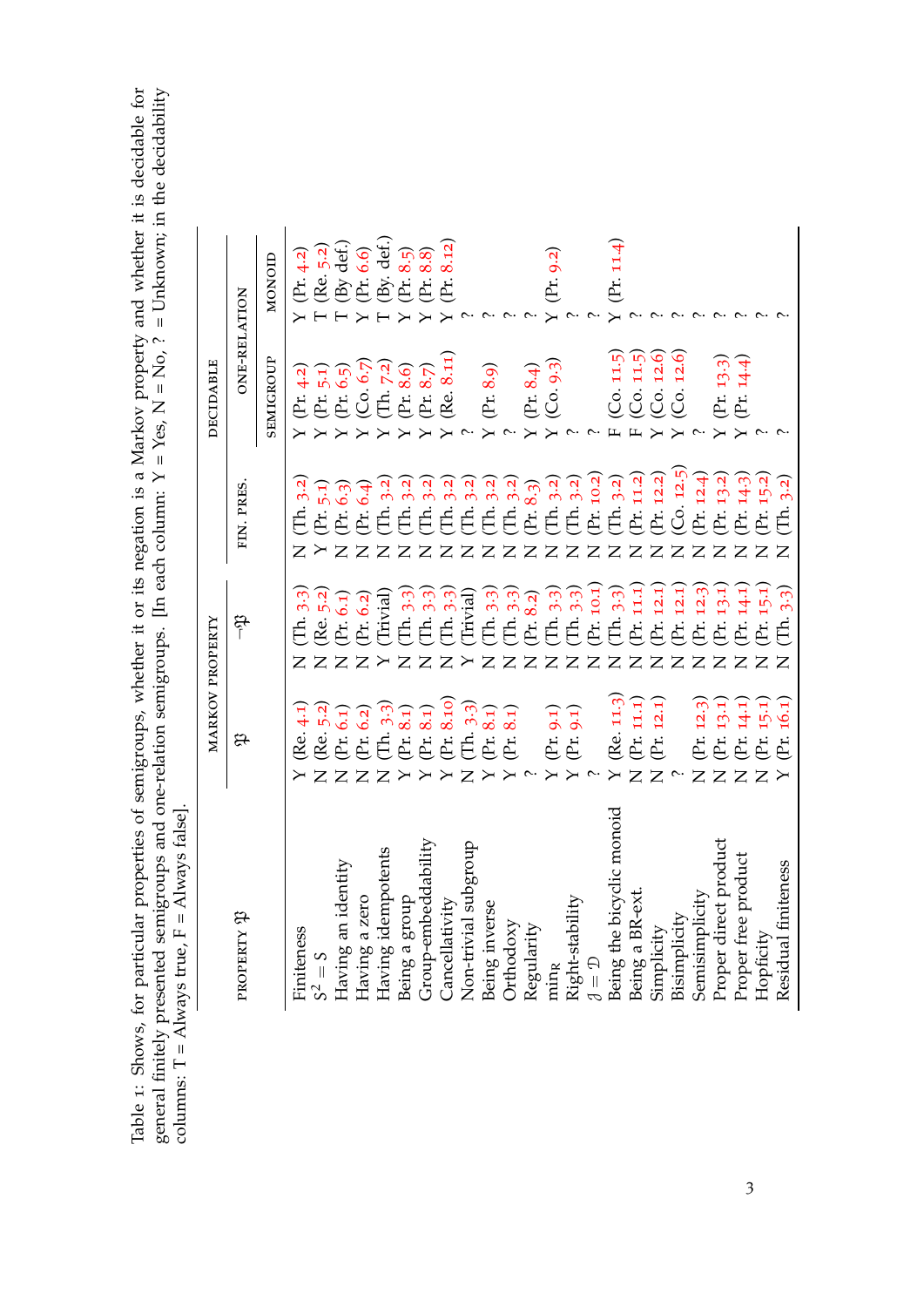Table 1: Shows, for particular properties of semigroups, whether it or its negation is a Markov property and whether it is decidable for general finitely presented semigroups and one-relation semigroups. [In each column: Table 1: Shows, for particular properties of semigroups, whether it or its negation is a Markov property and whether it is decidable for general finitely presented semigroups and one-relation semigroups. [In each column:  $Y = Yes$ ,  $N = No$ ,  $? = Unknown;$  in the decidability columns:  $T =$  Always true,  $F =$  Always false].

|                             | MARKOV PROPERTY                                                                                                          |                                                          |                                                  | <b>DECIDABLE</b>                                                           |                                                                              |
|-----------------------------|--------------------------------------------------------------------------------------------------------------------------|----------------------------------------------------------|--------------------------------------------------|----------------------------------------------------------------------------|------------------------------------------------------------------------------|
| <b>LE XLIEDALE</b>          | æ                                                                                                                        | مهر                                                      | FIN. PRES.                                       | <b>ONE-RELATION</b>                                                        |                                                                              |
|                             |                                                                                                                          |                                                          |                                                  | SEMIGROUP                                                                  | NONOID                                                                       |
| Finiteness                  | Re. 4.1                                                                                                                  | 3.3<br>Ë.<br>$\mathsf{\Sigma}$                           | 3.2<br>É.<br>$\overline{Z}$                      | (Pr. 4.2)                                                                  | (Pr. 4.2)                                                                    |
| $S^2 = S$                   | $Z\bar{Z}$                                                                                                               | ZZ                                                       | $\mathsf{X}$                                     |                                                                            |                                                                              |
| Having an identity          |                                                                                                                          |                                                          | (Pr. 5.1)<br>(Pr. 6.3)<br>(Pr. 6.4)<br>ZZ        |                                                                            |                                                                              |
| Having a zero               | $\overline{z}$                                                                                                           | $\overline{Z}$                                           |                                                  |                                                                            |                                                                              |
| Having idempotents          | (Re. 5:2)<br>(Pr. 6.1)<br>(Pr. 6.2)<br>(Pr. 6.3)<br>(Pr. 8.10)<br>(Pr. 8.10)<br>(Pr. 8.1)<br>(Pr. 8.1)<br>$\overline{Z}$ | $(Re, 5.2)$<br>$(Pr, 6.1)$<br>$(Pr, 6.2)$<br>$(Trivial)$ | $(Th. 3.2)$<br>$(Th. 3.2)$<br>$\mathsf{Z}$       | (Pr. 5.1)<br>(Cr. 6.5)<br>(Co. 6.7)<br>(Ch. 7.2)<br>(Pr. 8.7)<br>(Re. 8.11 | (Re. 5.2)<br>(By def.)<br>(Br. 6.6)<br>(Pr. 8.5)<br>(Pr. 8.12)<br>(Pr. 8.12) |
| Being a group               |                                                                                                                          | (Th. 3.3)<br>$\overline{Z}$                              | 3.2<br>ZZ                                        |                                                                            |                                                                              |
| Group-embeddability         |                                                                                                                          | (Th. 3.3)<br>$\overline{z}$                              | (Th. 3.2)                                        |                                                                            |                                                                              |
| Cancellativity              | $\overline{\mathsf{r}}$                                                                                                  | (Th. 3.3)<br>$\mathsf{Z}$                                | (Th. 3.2)<br>(Th. 3.2)                           | 8.11)                                                                      |                                                                              |
| Non-trivial subgroup        | $\overline{Z}$                                                                                                           | (Trivial)<br>$\mathsf{X}$                                | 3.2<br>Z Z Z                                     |                                                                            |                                                                              |
| Being inverse               |                                                                                                                          | (Th. 3.3)<br>$\mathsf{Z}$                                | $(Th. 3.2)$<br>$(Th. 3.2)$<br>$(Pr. 8.3)$        | (Pr. 8.9)                                                                  |                                                                              |
| Orthodoxy                   | $8_{.1}$ )<br>(Pr.                                                                                                       | 3.3<br>$(Th. 3.3)$<br>$(Pr. 8.2)$<br>$\mathsf{Z}$        | ZZ                                               |                                                                            |                                                                              |
| Regularity                  |                                                                                                                          | $\mathsf{Z}$                                             |                                                  | (Pr. 8.4)                                                                  |                                                                              |
| min <sub>R</sub>            | $\overline{\mathsf{r}}$                                                                                                  | 3.3<br>$\overline{\mathbf{E}}$                           | Z                                                | $(C_0, 9.3)$                                                               | (Pr. 9.2)                                                                    |
| Right-stability             | $(\Pr. 9.1)$ (Pr. 9.1)<br>$\overline{\phantom{0}}$                                                                       | (Th. 3.3)<br>$\mathsf{Z}$                                | $(Th. 3.2)$<br>$(Th. 3.2)$<br>$(Pr. 10.2)$<br>ZZ |                                                                            |                                                                              |
| $\mathcal{J} = \mathcal{D}$ |                                                                                                                          | Pr. 10.1<br>$\mathsf{Z}$                                 |                                                  |                                                                            |                                                                              |
| Being the bicyclic monoid   | (Re. 11.3)<br>$\overline{\phantom{0}}$                                                                                   | 3.3<br>$\overline{E}$                                    | $(Th. 3.2)$<br>$(Pr. 11.2)$<br>$\mathsf{Z}$      | $F$ (Co. 11.5)                                                             | (Pr. 11.4)                                                                   |
| Being a BR-ext.             | (Pr. 11.1)<br>$\overline{z}$                                                                                             | 11.1<br>(Pr.                                             | ZZ                                               | F(Co. 11.5)                                                                |                                                                              |
| Simplicity                  | (Pr. 12.1)<br>$\overline{z}$                                                                                             | Pr 12.1<br>$\mathsf{Z}$                                  | (Pr. 12.2)                                       | $(C_0, 12.6)$                                                              |                                                                              |
| Bisimplicity                |                                                                                                                          | 12.1<br>(Pr.                                             | $(Co. 12.5)$<br>(Pr. 12.4)<br>$\mathsf{Z}$       | $(C_0, 12.6)$                                                              |                                                                              |
| Semisimplicity              | (Pr. 12.3<br>$\overline{Z}$                                                                                              | 12.3<br>(Pr.<br>$\mathsf{Z}$                             |                                                  |                                                                            |                                                                              |
| Proper direct product       | $\begin{array}{l} \text{(Pr. 13.1)} \\ \text{(Pr. 14.1)} \\ \text{(Pr. 15.1)} \end{array}$<br>$\overline{z}$             | 13.1<br>(Pr.<br>$\mathsf{Z}$                             | (Pr. 13.2)<br>ZZZZ                               | $(Pr. 13.3)$<br>(Pr. 14.4)<br>$\overline{\phantom{1}}$                     |                                                                              |
| Proper free product         | $\mathsf{Z}$                                                                                                             | 14.1<br>(Fr.<br>$\mathsf{Z}$                             | $(Pr. 14.3)$<br>$(Pr. 15.2)$                     |                                                                            |                                                                              |
| Hopficity                   | $\overline{Z}$                                                                                                           | 15.1<br>.<br>Er<br>$\overline{z}$                        |                                                  |                                                                            |                                                                              |
| Residual finiteness         | 16.1<br>(Pr.<br>$\overline{\phantom{0}}$                                                                                 | 3.3<br>É<br>$\overline{Z}$                               | 3.2<br>Ė<br>$\overline{Z}$                       |                                                                            |                                                                              |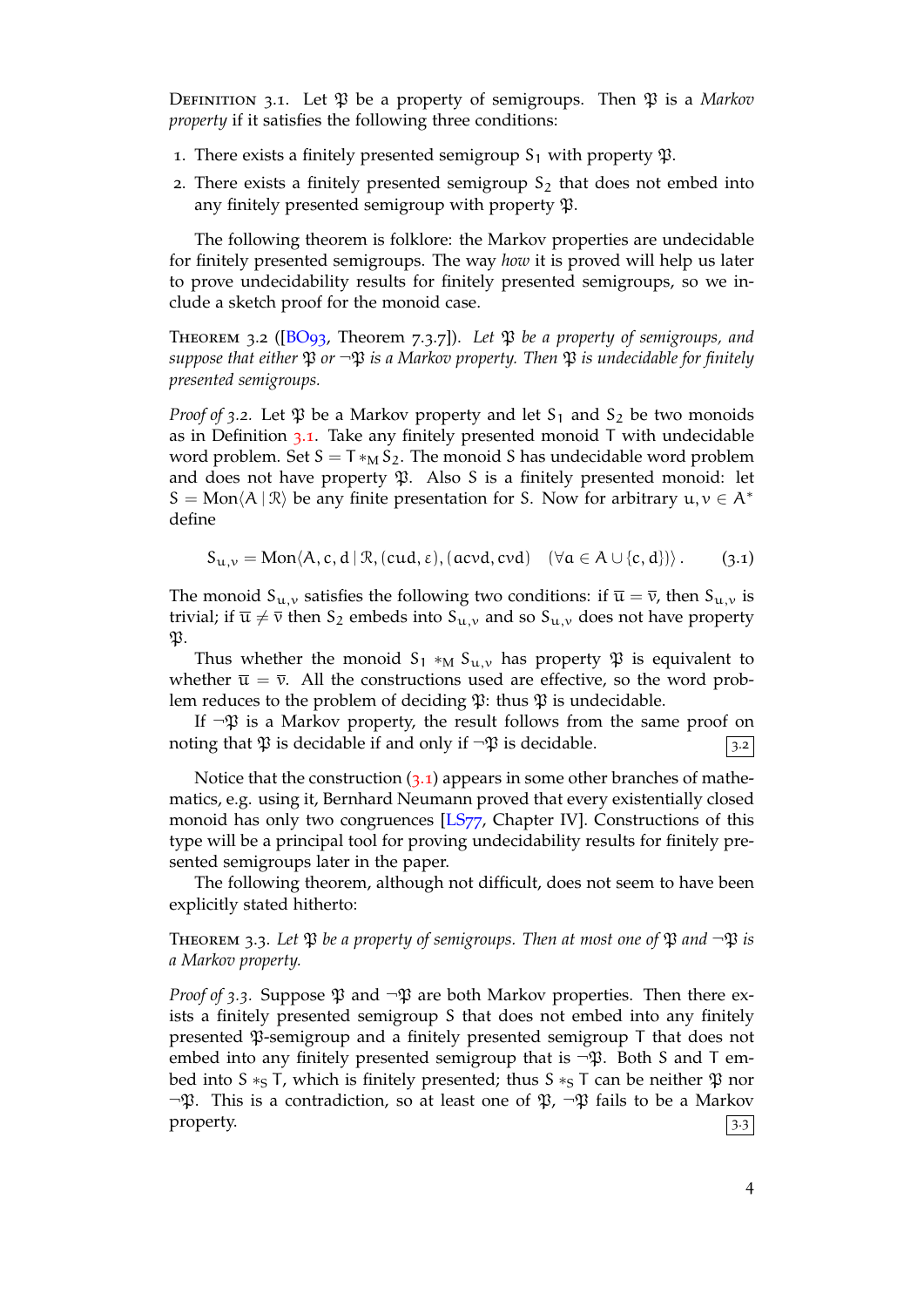DEFINITION 3.1. Let  $\mathfrak P$  be a property of semigroups. Then  $\mathfrak P$  is a *Markov property* if it satisfies the following three conditions:

- 1. There exists a finitely presented semigroup  $S_1$  with property  $\mathfrak{P}$ .
- 2. There exists a finitely presented semigroup  $S_2$  that does not embed into any finitely presented semigroup with property  $\mathfrak{P}$ .

The following theorem is folklore: the Markov properties are undecidable for finitely presented semigroups. The way *how* it is proved will help us later to prove undecidability results for finitely presented semigroups, so we include a sketch proof for the monoid case.

Theorem 3.2 ([BO93, Theorem 7.3.7]). *Let* P *be a property of semigroups, and suppose that either*  $\mathfrak P$  *or*  $\neg \mathfrak P$  *is a Markov property. Then*  $\mathfrak P$  *is undecidable for finitely presented semigroups.*

<span id="page-3-1"></span>*Proof of* 3.2. Let  $\mathfrak P$  [be](#page-20-5) a Markov property and let S<sub>1</sub> and S<sub>2</sub> be two monoids as in Definition  $3.1$ . Take any finitely presented monoid T with undecidable word problem. Set  $S = T *_{M} S_2$ . The monoid S has undecidable word problem and does not have property  $\mathfrak P$ . Also S is a finitely presented monoid: let  $S = \text{Mon}\langle A | R \rangle$  be any finite presentation for S. Now for arbitrary  $u, v \in A^*$ define

$$
S_{u,v} = Mon \langle A, c, d \, | \, \mathcal{R}, (cud, \epsilon), (acvd, cvd) \quad (\forall a \in A \cup \{c, d\}) \rangle . \tag{3.1}
$$

<span id="page-3-2"></span>The monoid  $S_{u,v}$  satisfies the following two conditions: if  $\overline{u} = \overline{v}$ , then  $S_{u,v}$  is trivial; if  $\overline{u} \neq \overline{v}$  then S<sub>2</sub> embeds into S<sub>u,v</sub> and so S<sub>u,v</sub> does not have property  $\mathfrak{P}.$ 

Thus whether the monoid  $S_1 *_{M} S_{u,v}$  has property  $\mathfrak P$  is equivalent to whether  $\bar{u} = \bar{v}$ . All the constructions used are effective, so the word problem reduces to the problem of deciding  $\mathfrak{P}$ : thus  $\mathfrak{P}$  is undecidable.

If  $\neg \mathfrak{P}$  is a Markov property, the result follows from the same proof on noting that  $\mathfrak P$  is decidable if and only if  $\neg \mathfrak P$  is decidable.

Notice that the construction  $(3.1)$  appears in some other branches of mathematics, e.g. using it, Bernhard Neumann proved that every existentially closed monoid has only two congruences [LS77, Chapter IV]. Constructions of this type will be a principal tool for proving undecidability results for finitely presented semigroups later in the [pape](#page-3-2)r.

The following theorem, althoug[h not d](#page-21-10)ifficult, does not seem to have been explicitly stated hitherto:

**THEOREM** 3.3. Let  $\mathfrak{P}$  *be a property of semigroups. Then at most one of*  $\mathfrak{P}$  *and*  $\neg \mathfrak{P}$  *is a Markov property.*

<span id="page-3-0"></span>*Proof of* 3.3. Suppose  $\mathfrak P$  and  $\neg \mathfrak P$  are both Markov properties. Then there exists a finitely presented semigroup S that does not embed into any finitely presented  $\mathfrak P$ -semigroup and a finitely presented semigroup T that does not embed into any finitely presented semigroup that is  $\neg \mathfrak{P}$ . Both S and T embed into S <sup>∗</sup>S T, which is finitely presented; thus S <sup>∗</sup>S T can be neither β nor  $\neg \mathfrak{P}$ . This is a contradiction, so at least one of  $\mathfrak{P}$ ,  $\neg \mathfrak{P}$  fails to be a Markov property.  $\sqrt{3.3}$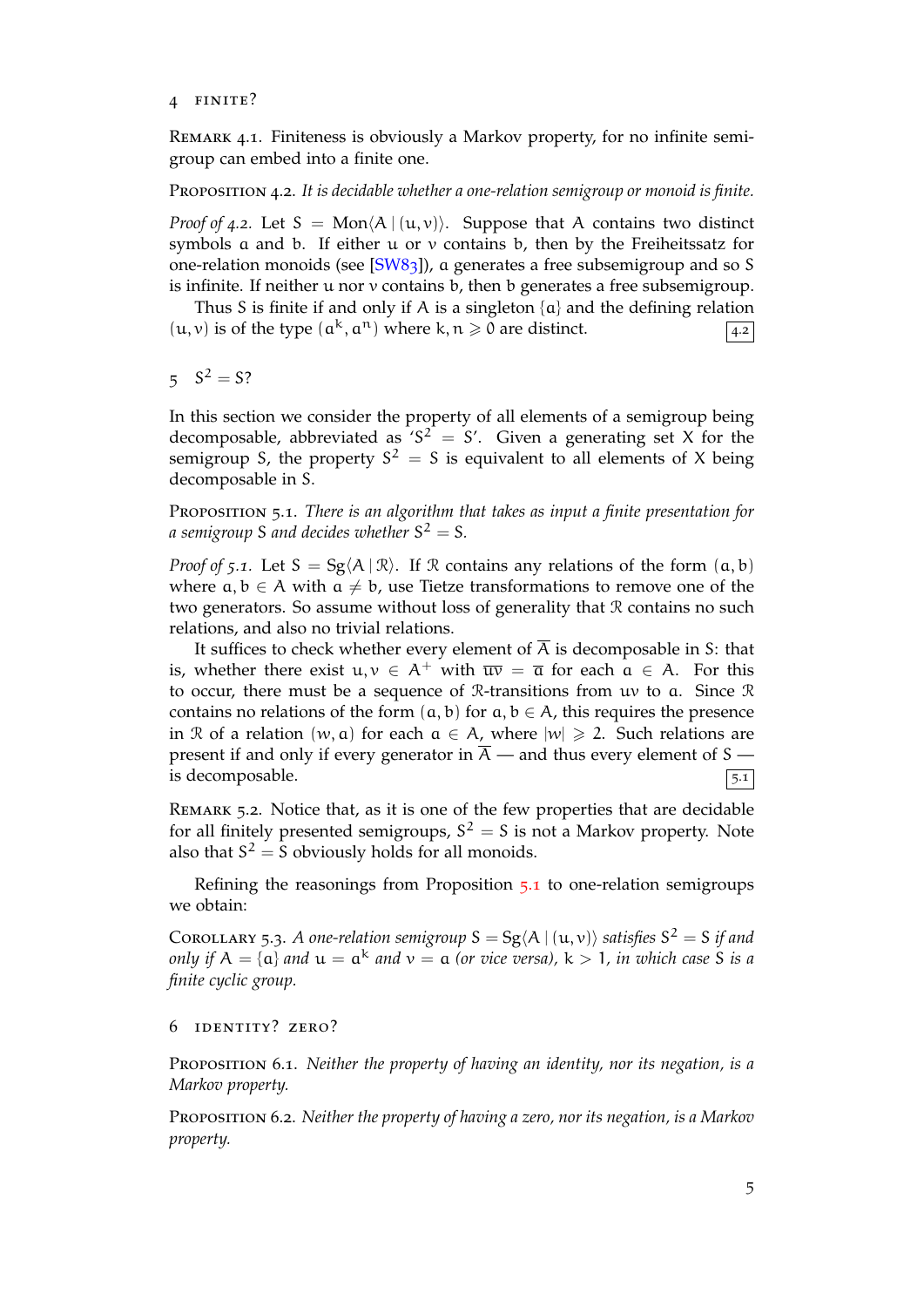## 4 finite?

Remark 4.1. Finiteness is obviously a Markov property, for no infinite semigroup can embed into a finite one.

## Proposition 4.2. *It is decidable whether a one-relation semigroup or monoid is finite.*

*Proof of 4.2.* Let  $S = Mon(A | (u, v))$ . Suppose that A contains two distinct symbols a and b. If either u or v contains b, then by the Freiheitssatz for one-relation monoids (see [SW83]), a generates a free subsemigroup and so S is infinite. If neither  $u$  nor  $v$  contains  $b$ , then  $b$  generates a free subsemigroup.

Thus S is finite if and only if A is a singleton  $\{a\}$  and the defining relation  $(u, v)$  is of the type  $(a^k, a^n)$  [wher](#page-21-11)e k,  $n \ge 0$  are distinct.

 $5 S^2 = S?$ 

In this section we consider the property of all elements of a semigroup being decomposable, abbreviated as 'S<sup>2</sup> = S'. Given a generating set X for the semigroup S, the property  $S^2 = S$  is equivalent to all elements of X being decomposable in S.

Proposition 5.1. *There is an algorithm that takes as input a finite presentation for a semigroup* S and decides whether  $S^2 = S$ .

<span id="page-4-1"></span>*Proof of* 5.1. Let  $S = Sg(A | \mathcal{R})$ . If R contains any relations of the form  $(a, b)$ where  $a, b \in A$  with  $a \neq b$ , use Tietze transformations to remove one of the two generators. So assume without loss of generality that R contains no such relations, and also no trivial relations.

It suffices to check whether every element of  $\overline{A}$  is decomposable in S: that is, whether there exist  $u, v \in A^+$  with  $\overline{uv} = \overline{a}$  for each  $a \in A$ . For this to occur, there must be a sequence of  $\mathcal{R}$ -transitions from uv to a. Since  $\mathcal{R}$ contains no relations of the form  $(a, b)$  for  $a, b \in A$ , this requires the presence in R of a relation  $(w, a)$  for each  $a \in A$ , where  $|w| \geq 2$ . Such relations are present if and only if every generator in  $\overline{A}$  — and thus every element of S is decomposable.  $\boxed{5.1}$ 

Remark 5.2. Notice that, as it is one of the few properties that are decidable for all finitely presented semigroups,  $S^2 = S$  is not a Markov property. Note also that  $S^2 = S$  obviously holds for all monoids.

<span id="page-4-0"></span>Refining the reasonings from Proposition 5.1 to one-relation semigroups we obtain:

COROLLARY 5.3. *A one-relation semigroup*  $S = Sg \langle A | (u, v) \rangle$  *satisfies*  $S^2 = S$  *if and only if*  $A = \{a\}$  *and*  $u = a^k$  *and*  $v = a$  (or vice [versa](#page-4-1)),  $k > 1$ , in which case S is a *finite cyclic group.*

## <span id="page-4-2"></span>6 identity? zero?

Proposition 6.1. *Neither the property of having an identity, nor its negation, is a Markov property.*

Proposition 6.2. *Neither the property of having a zero, nor its negation, is a Markov property.*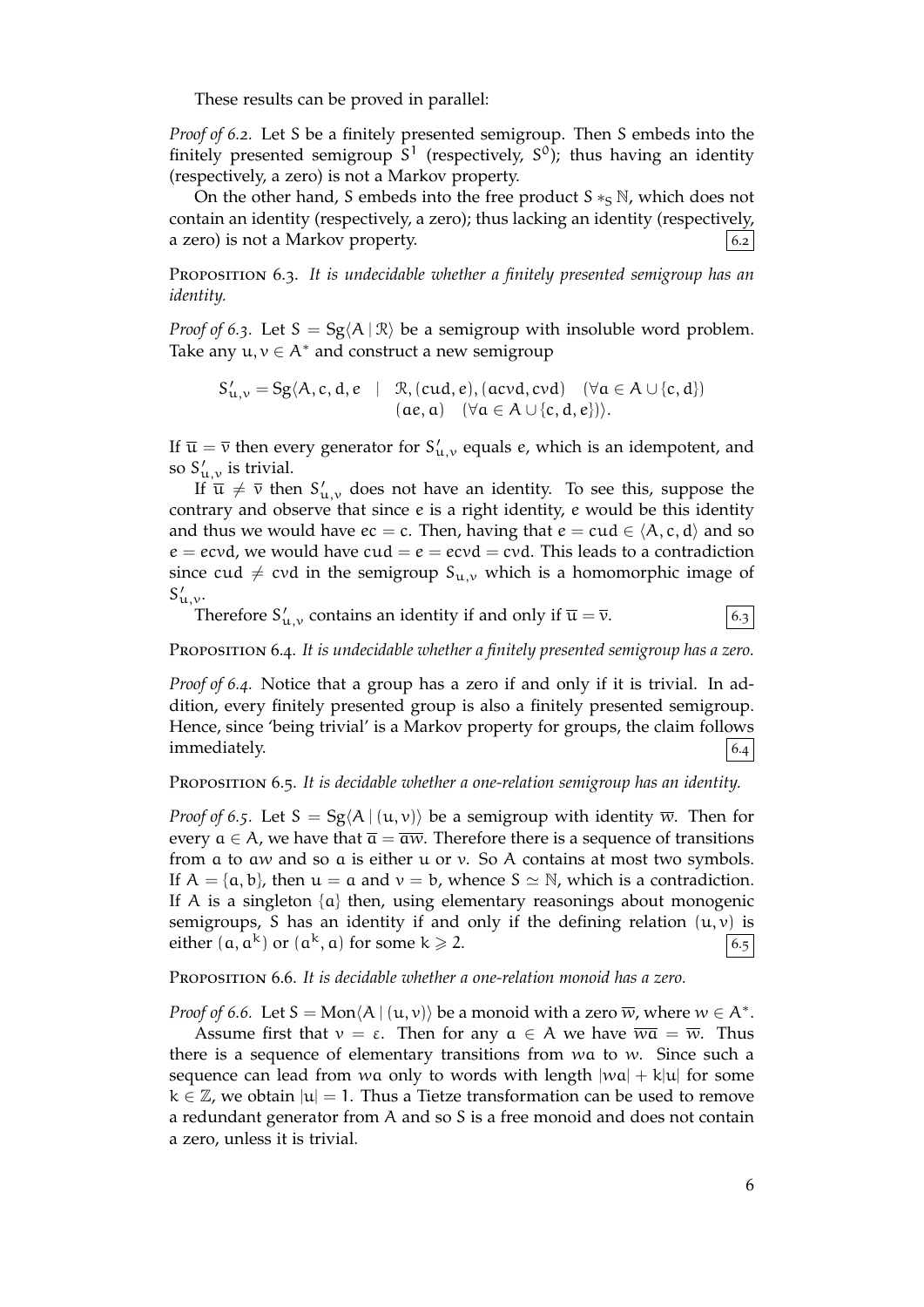These results can be proved in parallel:

*Proof of 6.2.* Let S be a finitely presented semigroup. Then S embeds into the finitely presented semigroup  $S^1$  (respectively,  $S^0$ ); thus having an identity (respectively, a zero) is not a Markov property.

On the other hand, S embeds into the free product  $S \ast_S N$ , which does not contain an identity (respectively, a zero); thus lacking an identity (respectively, a zero) is not a Markov property.  $\begin{bmatrix} 6.2 \end{bmatrix}$ 

Proposition 6.3. *It is undecidable whether a finitely presented semigroup has an identity.*

*Proof of* 6.3. Let  $S = Sg\langle A | R \rangle$  be a semigroup with insoluble word problem. Take any  $u, v \in A^*$  and construct a new semigroup

 $S'_{u,v} = Sg(A, c, d, e \mid \mathcal{R}, (cud, e), (acvd, cvd) \quad (\forall a \in A \cup \{c, d\})$  $(ae, a) \quad (\forall a \in A \cup \{c, d, e\})$ .

If  $\overline{\mathfrak{u}} = \overline{\mathfrak{v}}$  then every generator for  $\mathsf{S}'_{\mathfrak{u},\mathfrak{v}}$  equals e, which is an idempotent, and so  $S'_{\mu,\nu}$  is trivial.

If  $\overline{u} \neq \overline{v}$  then  $S'_{u,v}$  does not have an identity. To see this, suppose the contrary and observe that since e is a right identity, e would be this identity and thus we would have  $ec = c$ . Then, having that  $e = cud \in \langle A, c, d \rangle$  and so  $e = e c v d$ , we would have  $c u d = e = e c v d = c v d$ . This leads to a contradiction since cud  $\neq$  cvd in the semigroup S<sub>u,v</sub> which is a homomorphic image of  $S'_{\mathfrak{u},\mathfrak{v}}$ .

Therefore  $S'_{u,v}$  contains an identity if and only if  $\overline{u} = \overline{v}$ .  $\Big| 6.3$ 

Proposition 6.4. *It is undecidable whether a finitely presented semigroup has a zero.*

*Proof of 6.4.* Notice that a group has a zero if and only if it is trivial. In addition, every finitely presented group is also a finitely presented semigroup. Hence, since 'being trivial' is a Markov property for groups, the claim follows immediately. 6.4

#### <span id="page-5-0"></span>Proposition 6.5. *It is decidable whether a one-relation semigroup has an identity.*

*Proof of* 6.5. Let  $S = Sg\langle A | (u, v) \rangle$  be a semigroup with identity  $\overline{w}$ . Then for every  $a \in A$ , we have that  $\overline{a} = \overline{aw}$ . Therefore there is a sequence of transitions from a to aw and so a is either u or v. So A contains at most two symbols. If  $A = \{a, b\}$ , then  $u = a$  and  $v = b$ , whence  $S \simeq N$ , which is a contradiction. If A is a singleton  $\{a\}$  then, using elementary reasonings about monogenic semigroups, S has an identity if and only if the defining relation  $(u, v)$  is either  $(a, a^k)$  or  $(a^k, a)$  for some  $k \ge 2$ .

## Proposition 6.6. *It is decidable whether a one-relation monoid has a zero.*

*Proof of 6.6.* Let  $S = \text{Mon}\langle A \mid (u, v) \rangle$  be a monoid with a zero  $\overline{w}$ , where  $w \in A^*$ .

Assume first that  $v = \varepsilon$ . Then for any  $a \in A$  we have  $\overline{wa} = \overline{w}$ . Thus there is a sequence of elementary transitions from  $wa$  to  $w$ . Since such a sequence can lead from wa only to words with length  $|wa| + k|u|$  for some k *∈* Z, we obtain |u| = 1. Thus a Tietze transformation can be used to remove a redundant generator from A and so S is a free monoid and does not contain a zero, unless it is trivial.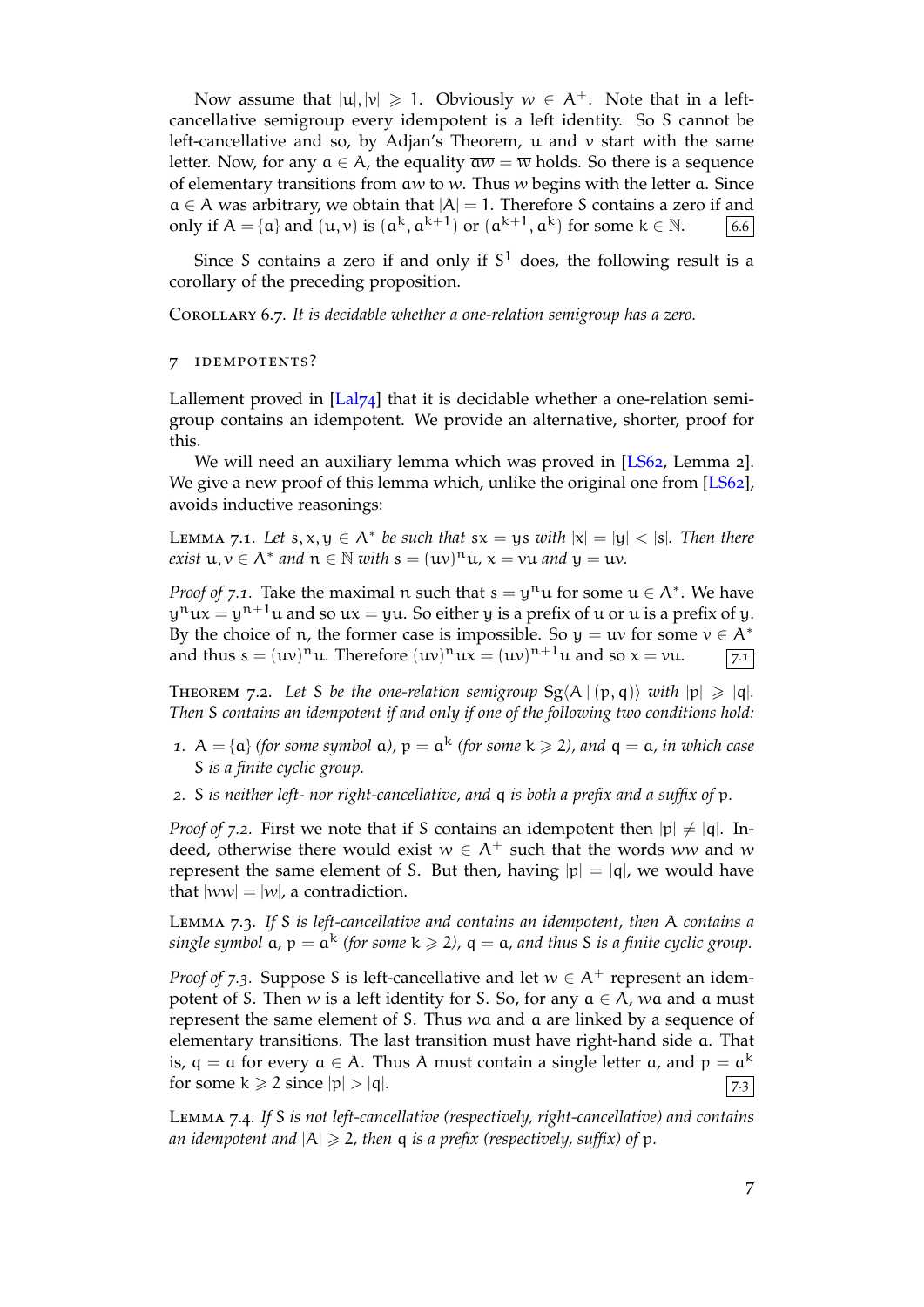Now assume that  $|u|, |v| \ge 1$ . Obviously  $w \in A^+$ . Note that in a leftcancellative semigroup every idempotent is a left identity. So S cannot be left-cancellative and so, by Adjan's Theorem,  $\mu$  and  $\nu$  start with the same letter. Now, for any  $a \in A$ , the equality  $\overline{aw} = \overline{w}$  holds. So there is a sequence of elementary transitions from aw to w. Thus w begins with the letter  $a$ . Since  $a \in A$  was arbitrary, we obtain that  $|A| = 1$ . Therefore *S* contains a zero if and only if  $A = \{a\}$  and  $(u, v)$  is  $(a<sup>k</sup>, a<sup>k+1</sup>)$  or  $(a<sup>k+1</sup>, a<sup>k</sup>)$  for some  $k \in \mathbb{N}$ . 6.6 only if  $A = \{a\}$  and  $(u, v)$  is  $(a^k, a^{k+1})$  or  $(a^{k+1}, a^k)$  for some  $k \in \mathbb{N}$ . 6.6

Since S contains a zero if and only if  $S<sup>1</sup>$  does, the following result is a corollary of the preceding proposition.

Corollary 6.7. *It is decidable whether a one-relation semigroup has a zero.*

## <span id="page-6-1"></span>7 idempotents?

Lallement proved in  $\left[\text{La}|\gamma_4\right]$  that it is decidable whether a one-relation semigroup contains an idempotent. We provide an alternative, shorter, proof for this.

<span id="page-6-0"></span>We will need an auxiliary lemma which was proved in [LS62, Lemma 2]. We give a new proof [of this](#page-21-3) lemma which, unlike the original one from [LS62], avoids inductive reasonings:

LEMMA 7.1. Let  $s, x, y \in A^*$  be such that  $sx = ys$  *with*  $|x| = |y| < |s|$  $|x| = |y| < |s|$  $|x| = |y| < |s|$ *. Then there*  $\alpha$  *exist*  $u, v \in A^*$  *and*  $n \in \mathbb{N}$  *with*  $s = (uv)^n u$ ,  $x = vu$  *and*  $y = uv$ *.* 

<span id="page-6-3"></span>*Proof of* 7.1. Take the maximal n such that  $s = y^n u$  for some  $u \in A^*$ . We have  $\mathsf{y}^{\mathfrak{n}}$ ux  $=\mathsf{y}^{\mathfrak{n}+1}$ u and so ux  $=\mathsf{y}$ u. So either  $\mathsf{y}$  is a prefix of  $\mathsf{u}$  or  $\mathsf{u}$  is a prefix of  $\mathsf{y}.$ By the choice of *n*, the former case is impossible. So  $y = uv$  for some  $v \in A^*$  and thus  $s = (uv)^n u$ . Therefore  $(uv)^n ux = (uv)^{n+1}u$  and so  $x = vu$ .  $\boxed{7.1}$ and thus  $s = (uv)^n u$ . Therefore  $(uv)^n u x = (uv)^{n+1} u$  and so  $x = vu$ .  $\boxed{7.1}$ 

THEOREM 7.2. Let *S* be the one-relation semigroup  $Sg\ A | (p, q) \rangle$  with  $|p| \geq |q|$ *. Then* S *contains an idempotent if and only if one of the following two conditions hold:*

- <span id="page-6-2"></span>*1*.  $A = \{a\}$  (for some symbol  $a$ ),  $p = a^k$  (for some  $k \ge 2$ ), and  $q = a$ , in which case S *is a finite cyclic group.*
- *2.* S *is neither left- nor right-cancellative, and* q *is both a prefix and a suffix of* p*.*

*Proof of* 7.2. First we note that if S contains an idempotent then  $|p| \neq |q|$ . Indeed, otherwise there would exist  $w \in A^+$  such that the words ww and w represent the same element of S. But then, having  $|p| = |q|$ , we would have that  $|ww| = |w|$ , a contradiction.

Lemma 7.3. *If* S *is left-cancellative and contains an idempotent, then* A *contains a*  $single$  symbol  $a$ ,  $p = a^k$  (for some  $k \geqslant 2$ ),  $q = a$ , and thus S is a finite cyclic group.

*Proof of* 7.3. Suppose S is left-cancellative and let  $w \in A^+$  represent an idempotent of S. Then w is a left identity for S. So, for any a *∈* A, wa and a must represent the same element of S. Thus wa and a are linked by a sequence of elementary transitions. The last transition must have right-hand side a. That is,  $q = a$  for every  $a \in A$ . Thus A must contain a single letter  $a$ , and  $p = a^k$ for some  $k \ge 2$  since  $|p| > |q|$ .  $\boxed{73}$ 

Lemma 7.4. *If* S *is not left-cancellative (respectively, right-cancellative) and contains an idempotent and*  $|A| \ge 2$ , then q *is a prefix (respectively, suffix) of* p.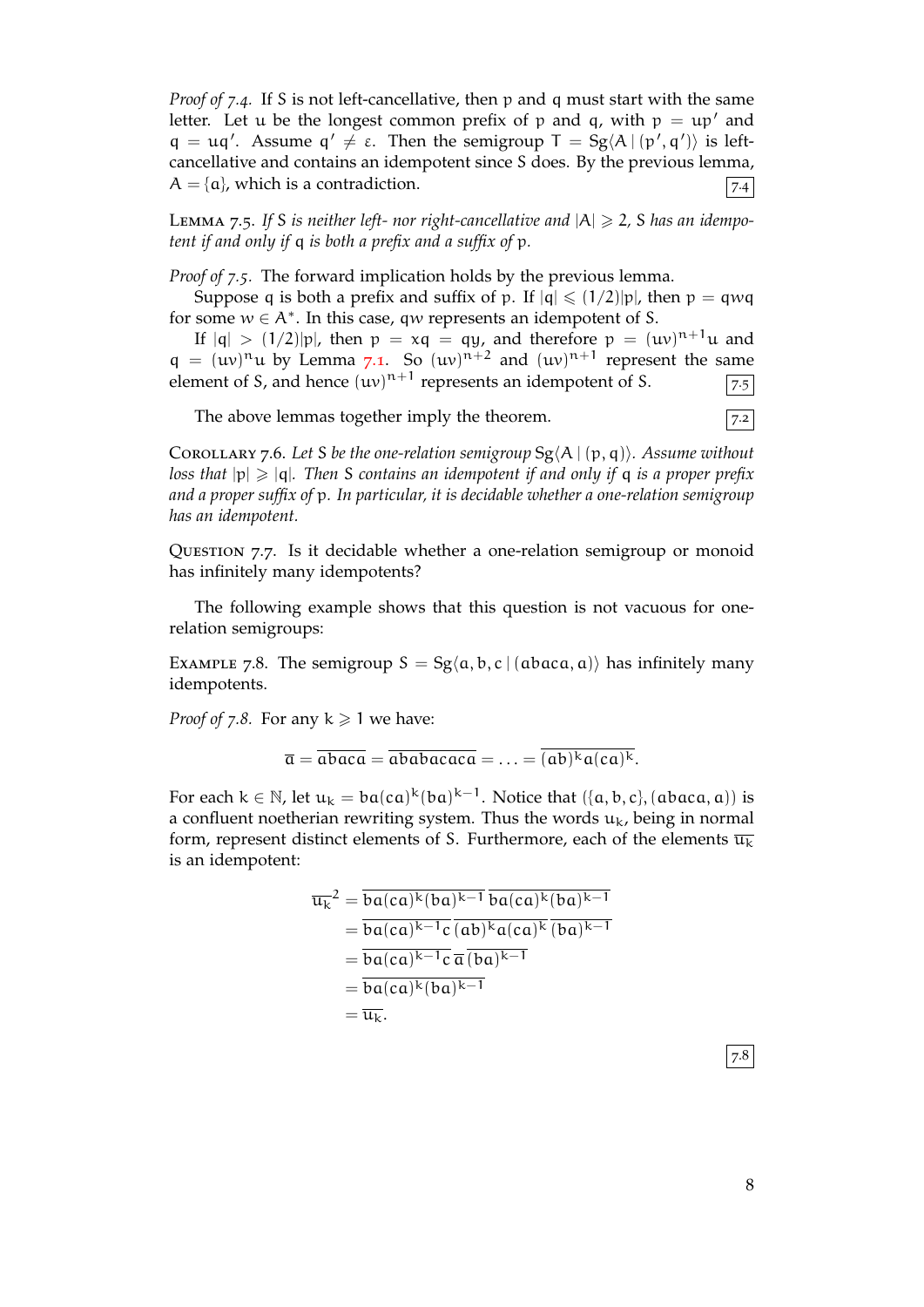*Proof of 7.4.* If S is not left-cancellative, then p and q must start with the same letter. Let u be the longest common prefix of p and q, with  $p = \mu p'$  and q = uq'. Assume  $q' \neq \varepsilon$ . Then the semigroup  $T = Sg\langle A | (p', q') \rangle$  is leftcancellative and contains an idempotent since S does. By the previous lemma,  $A = \{\alpha\}$ , which is a contradiction.  $\boxed{74}$ 

LEMMA 7.5. If S is neither left- nor right-cancellative and  $|A| \geq 2$ , S has an idempo*tent if and only if* q *is both a prefix and a suffix of* p*.*

*Proof of 7.5.* The forward implication holds by the previous lemma.

Suppose q is both a prefix and suffix of p. If  $|q| \leq (1/2)|p|$ , then  $p = qwq$ for some w *∈* A*<sup>∗</sup>* . In this case, qw represents an idempotent of S.

If  $|q| > (1/2)|p|$ , then  $p = xq = qy$ , and therefore  $p = (uv)^{n+1}u$  and  $q = (uv)^n u$  by Lemma 7.1. So  $(uv)^{n+2}$  and  $(uv)^{n+1}$  represent the same element of S, and hence  $(uv)^{n+1}$  represents an idempotent of S.  $\sqrt{7.5}$ 

The above lemmas together imply the theorem.  $\sqrt{7.2}$ 

<sup>C</sup>orollary 7.6. *Let* <sup>S</sup> *be t[he on](#page-6-3)e-relation semigroup* Sg*⟨*<sup>A</sup> <sup>|</sup> (p, q)*⟩. Assume without loss that* |p| > |q|*. Then* S *contains an idempotent if and only if* q *is a proper prefix and a proper suffix of* p*. In particular, it is decidable whether a one-relation semigroup has an idempotent.*

Question 7.7. Is it decidable whether a one-relation semigroup or monoid has infinitely many idempotents?

The following example shows that this question is not vacuous for onerelation semigroups:

EXAMPLE 7.8. The semigroup  $S = Sg\langle a, b, c \mid (abaca, a)\rangle$  has infinitely many idempotents.

*Proof of* 7.8. For any  $k \ge 1$  we have:

$$
\overline{\mathfrak{a}} = \overline{\mathfrak{a} \mathfrak{b} \mathfrak{a} \mathfrak{c} \mathfrak{a}} = \overline{\mathfrak{a} \mathfrak{b} \mathfrak{a} \mathfrak{b} \mathfrak{a} \mathfrak{c} \mathfrak{a} \mathfrak{c} \mathfrak{a}} = \ldots = \overline{(\mathfrak{a} \mathfrak{b})^k \mathfrak{a}(\mathfrak{c} \mathfrak{a})^k}.
$$

For each  $k \in \mathbb{N}$ , let  $u_k = ba(ca)^k(ba)^{k-1}$ . Notice that  $(\{a, b, c\}, (abaca, a))$  is a confluent noetherian rewriting system. Thus the words  $u_k$ , being in normal form, represent distinct elements of S. Furthermore, each of the elements  $\overline{u_k}$ is an idempotent:

$$
\overline{u_k}^2 = \overline{ba(ca)^k(ba)^{k-1}} \overline{ba(ca)^k(ba)^{k-1}}
$$
\n
$$
= \overline{ba(ca)^{k-1}c} \overline{(ab)^k a(ca)^k} \overline{(ba)^{k-1}}
$$
\n
$$
= \overline{ba(ca)^{k-1}c} \overline{a} \overline{(ba)^{k-1}}
$$
\n
$$
= \overline{ba(ca)^k(ba)^{k-1}}
$$
\n
$$
= \overline{u_k}.
$$

 $|7.8|$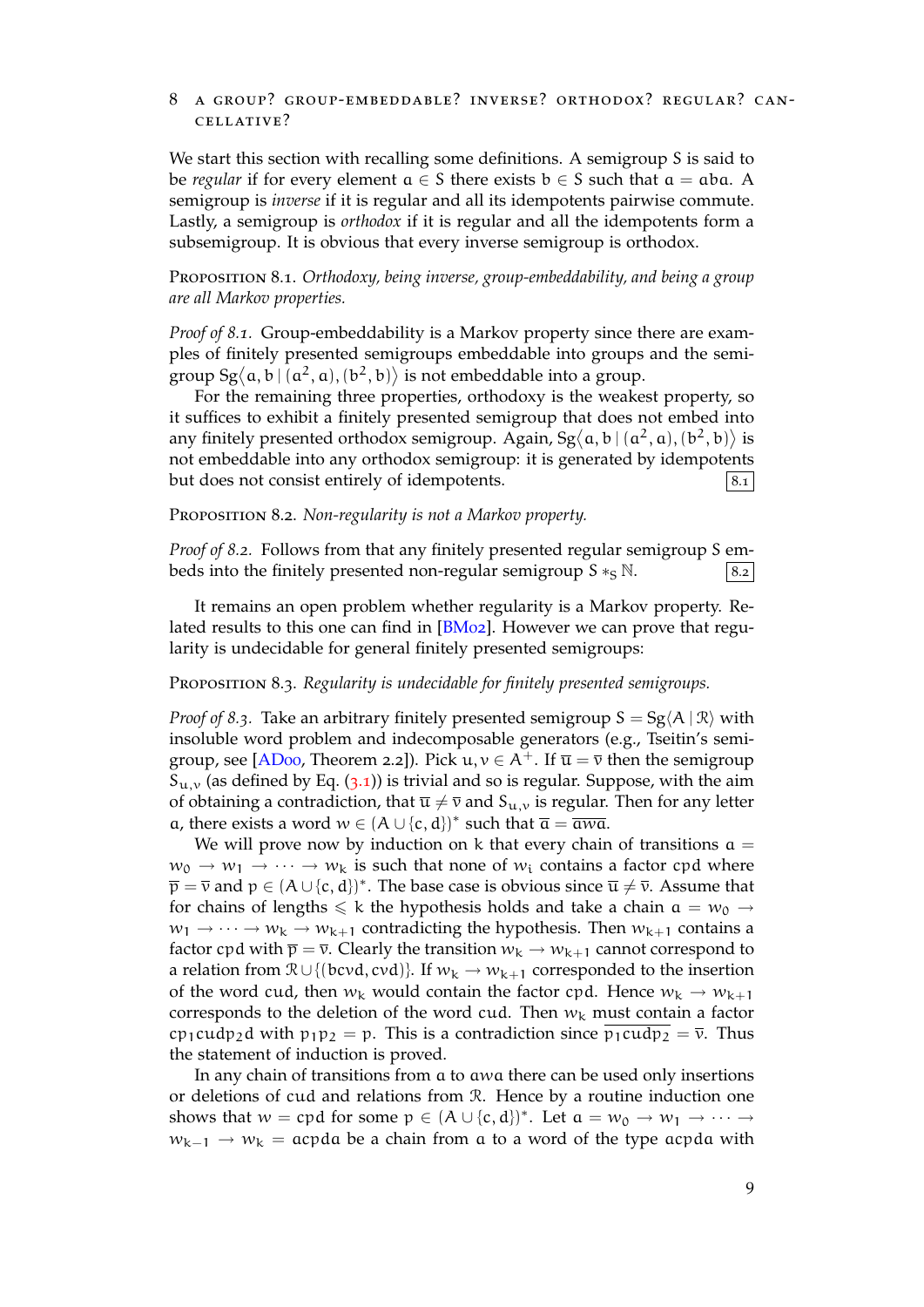## 8 a group? group-embeddable? inverse? orthodox? regular? cancellative?

We start this section with recalling some definitions. A semigroup S is said to be *regular* if for every element  $a \in S$  there exists  $b \in S$  such that  $a = aba$ . A semigroup is *inverse* if it is regular and all its idempotents pairwise commute. Lastly, a semigroup is *orthodox* if it is regular and all the idempotents form a subsemigroup. It is obvious that every inverse semigroup is orthodox.

Proposition 8.1. *Orthodoxy, being inverse, group-embeddability, and being a group are all Markov properties.*

*Proof of 8.1.* Group-embeddability is a Markov property since there are examples of finitely presented semigroups embeddable into groups and the semigroup  $Sg\langle a, b \mid (a^2, a), (b^2, b) \rangle$  is not embeddable into a group.

For the remaining three properties, orthodoxy is the weakest property, so it suffices to exhibit a finitely presented semigroup that does not embed into any finitely presented orthodox semigroup. Again, Sg $\langle a, b | (a^2, a), (b^2, b) \rangle$  is not embeddable into any orthodox semigroup: it is generated by idempotents but does not consist entirely of idempotents.  $\begin{bmatrix} 8.1 \end{bmatrix}$ 

Proposition 8.2. *Non-regularity is not a Markov property.*

*Proof of 8.2.* Follows from that any finitely presented regular semigroup S embeds into the finitely presented non-regular semigroup  $S \ast_S N$ .  $\vert S \cdot \vert S \cdot \vert$ 

It remains an open problem whether regularity is a Markov property. Related results to this one can find in [BM02]. However we can prove that regularity is undecidable for general finitely presented semigroups:

## Proposition 8.3. *Regularity is undecidable for finitely presented semigroups.*

<span id="page-8-0"></span>*Proof of* 8.3. Take an arbitrary finitel[y prese](#page-20-6)nted semigroup  $S = Sg\langle A | R \rangle$  with insoluble word problem and indecomposable generators (e.g., Tseitin's semigroup, see [ADoo, Theorem 2.2]). Pick  $u, v \in A^+$ . If  $\overline{u} = \overline{v}$  then the semigroup  $S_{u,v}$  (as defined by Eq. (3.1)) is trivial and so is regular. Suppose, with the aim of obtaining a contradiction, that  $\overline{u} \neq \overline{v}$  and  $S_{u,v}$  is regular. Then for any letter a, there exists a word  $w \in (A \cup \{c, d\})^*$  such that  $\overline{a} = \overline{awa}$ .

We will [prove](#page-20-0) now by induction on k that every chain of transitions  $a =$  $w_0 \rightarrow w_1 \rightarrow \cdots \rightarrow w_k$  [is](#page-3-2) such that none of  $w_i$  contains a factor cpd where  $\overline{p} = \overline{v}$  and  $p \in (A \cup \{c, d\})^*$ . The base case is obvious since  $\overline{u} \neq \overline{v}$ . Assume that for chains of lengths  $\leq k$  the hypothesis holds and take a chain  $a = w_0 \rightarrow a$  $w_1 \rightarrow \cdots \rightarrow w_k \rightarrow w_{k+1}$  contradicting the hypothesis. Then  $w_{k+1}$  contains a factor cpd with  $\bar{p} = \bar{v}$ . Clearly the transition  $w_k \to w_{k+1}$  cannot correspond to a relation from  $\mathcal{R} \cup \{(\text{bcvd}, \text{cvd})\}$ . If  $w_k \to w_{k+1}$  corresponded to the insertion of the word cud, then  $w_k$  would contain the factor cpd. Hence  $w_k \to w_{k+1}$ corresponds to the deletion of the word cud. Then  $w_k$  must contain a factor cp<sub>1</sub>cudp<sub>2</sub>d with p<sub>1</sub>p<sub>2</sub> = p. This is a contradiction since p<sub>1</sub>cudp<sub>2</sub> =  $\overline{v}$ . Thus the statement of induction is proved.

In any chain of transitions from a to awa there can be used only insertions or deletions of cud and relations from R. Hence by a routine induction one shows that  $w = cpd$  for some  $p \in (A \cup \{c, d\})^*$ . Let  $a = w_0 \to w_1 \to \cdots \to$ wk−<sup>1</sup> *→* w<sup>k</sup> = acpda be a chain from a to a word of the type acpda with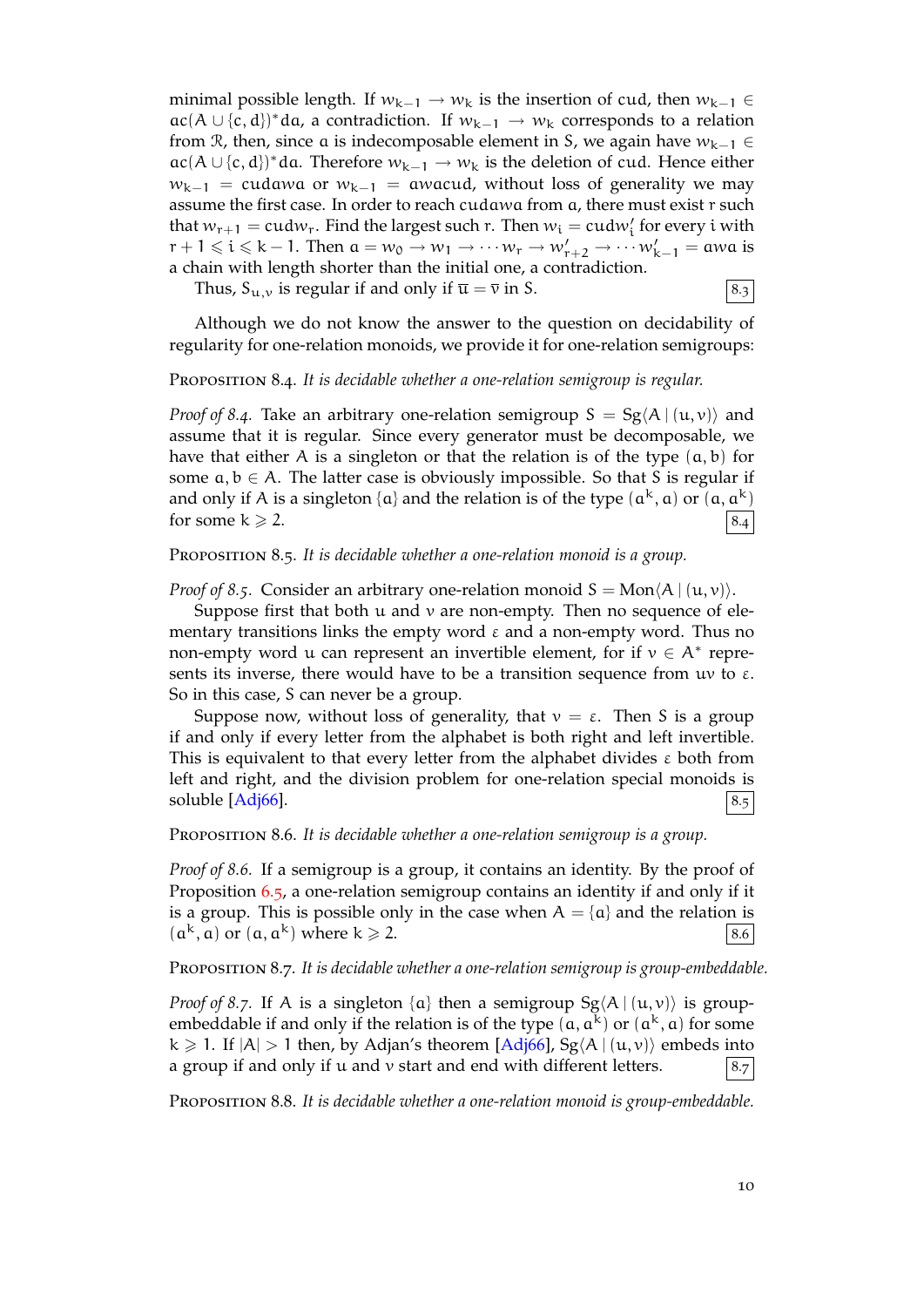minimal possible length. If  $w_{k-1} \rightarrow w_k$  is the insertion of cud, then  $w_{k-1} \in$ ac(A ∪ {c, d})\*da, a contradiction. If  $w_{k-1} \rightarrow w_k$  corresponds to a relation from R, then, since a is indecomposable element in S, we again have wk−<sup>1</sup> *∈* ac(*A* ∪ {c, d})\*da. Therefore  $w_{k-1} \to w_k$  is the deletion of cud. Hence either  $w_{k-1}$  = cudawa or  $w_{k-1}$  = awacud, without loss of generality we may assume the first case. In order to reach cudawa from a, there must exist r such that  $w_{r+1} = \text{cud}w_r$ . Find the largest such r. Then  $w_i = \text{cud}w'_i$  for every  $i$  with  $r + 1 \leq i \leq k - 1$ . Then  $a = w_0 \rightarrow w_1 \rightarrow \cdots w_r \rightarrow w'_{r+2} \rightarrow \cdots w'_{k-1} =$  awa is a chain with length shorter than the initial one, a contradiction.

Thus,  $S_{u,v}$  is regular if and only if  $\overline{u} = \overline{v}$  in S.  $|8.3|$ 

Although we do not know the answer to the question on decidability of regularity for one-relation monoids, we provide it for one-relation semigroups:

Proposition 8.4. *It is decidable whether a one-relation semigroup is regular.*

*Proof of 8.4.* Take an arbitrary one-relation semigroup  $S = Sg\langle A | (u, v) \rangle$  and assume that it is regular. Since every generator must be decomposable, we have that either A is a singleton or that the relation is of the type  $(a, b)$  for some a, b *∈* A. The latter case is obviously impossible. So that S is regular if and only if A is a singleton {a} and the relation is of the type  $(a^k, a)$  or  $(a, a^k)$ for some  $k \ge 2$ .  $\vert 8.4 \vert$ 

PROPOSITION 8.5. It is decidable whether a one-relation monoid is a group.

*Proof of 8.5.* Consider an arbitrary one-relation monoid  $S = Mon(A | (u, v))$ .

<span id="page-9-1"></span>Suppose first that both  $u$  and  $v$  are non-empty. Then no sequence of elementary transitions links the empty word  $\varepsilon$  and a non-empty word. Thus no non-empty word u can represent an invertible element, for if  $v \in A^*$  represents its inverse, there would have to be a transition sequence from  $uv$  to  $\varepsilon$ . So in this case, S can never be a group.

Suppose now, without loss of generality, that  $v = \varepsilon$ . Then S is a group if and only if every letter from the alphabet is both right and left invertible. This is equivalent to that every letter from the alphabet divides  $\varepsilon$  both from left and right, and the division problem for one-relation special monoids is soluble  $[Adj66]$ .  $|8.5$ 

Proposition 8.6. *It is decidable whether a one-relation semigroup is a group.*

<span id="page-9-2"></span>*Proof of 8.6.* [If a](#page-20-1) semigroup is a group, it contains an identity. By the proof of Proposition 6.5, a one-relation semigroup contains an identity if and only if it is a group. This is possible only in the case when  $A = \{a\}$  and the relation is  $(a^k, a)$  or  $(a, a^k)$  where  $k \ge 2$ .  $\boxed{8.6}$ 

Propositio[n 8](#page-5-0).7. *It is decidable whether a one-relation semigroup is group-embeddable.*

<span id="page-9-0"></span>*Proof of 8.7.* If A is a singleton  $\{a\}$  then a semigroup  $Sg\langle A | (u, v) \rangle$  is groupembeddable if and only if the relation is of the type  $(a, a^k)$  or  $(a^k, a)$  for some  $k \ge 1$ . If  $|A| > 1$  then, by Adjan's theorem [Adj66], Sg $\langle A | (u, v) \rangle$  embeds into a group if and only if u and v start and end with different letters.  $|8.7|$ 

Proposition 8.8. *It is decidable whether a one-relation monoid is group-embeddable.*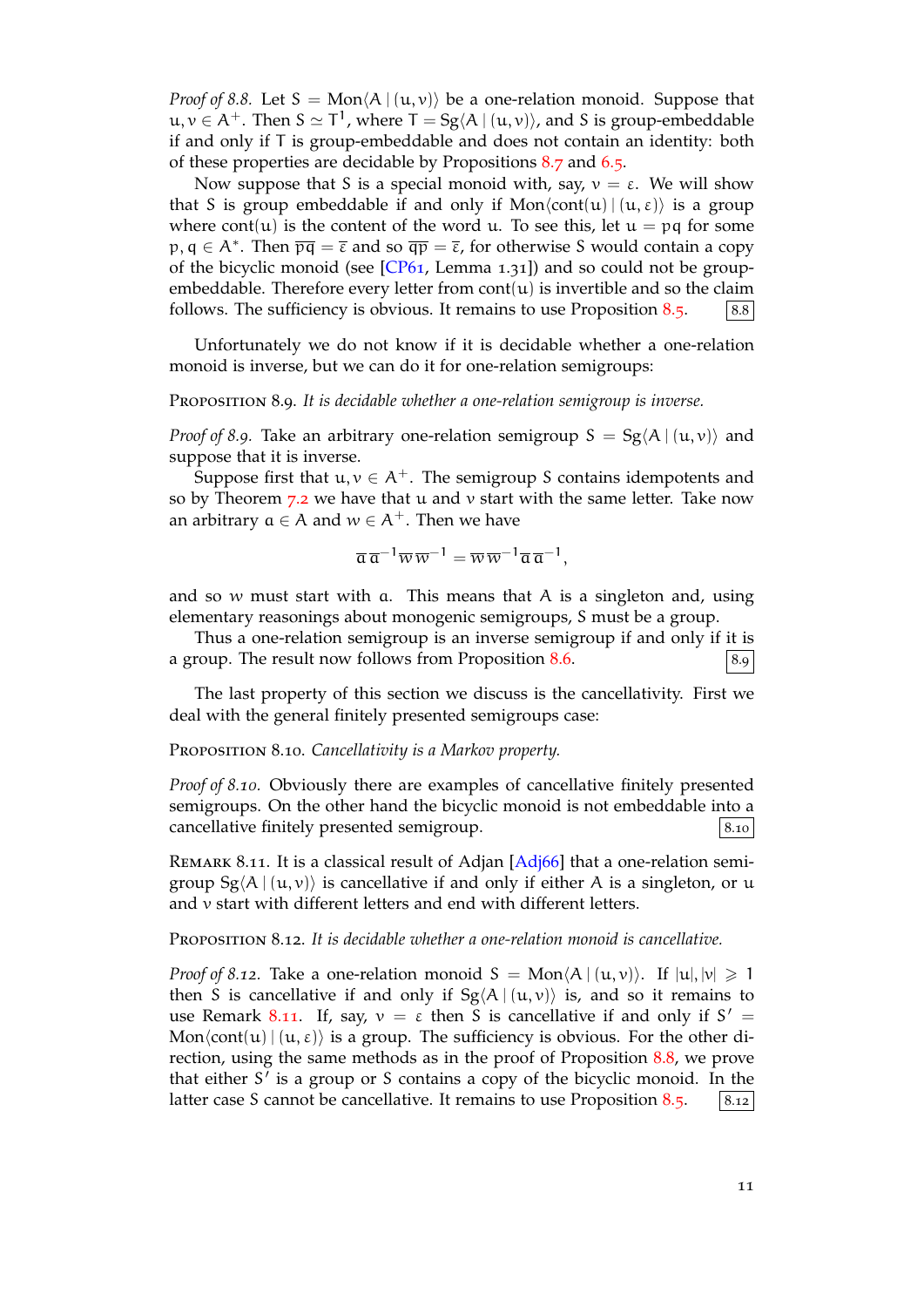*Proof of* 8.8. Let S = Mon $\langle A | (u, v) \rangle$  be a one-relation monoid. Suppose that u, v *<sup>∈</sup>* <sup>A</sup>+. Then <sup>S</sup> *<sup>≃</sup>* <sup>T</sup> 1 , where T = Sg*⟨*A | (u, v)*⟩*, and S is group-embeddable if and only if T is group-embeddable and does not contain an identity: both of these properties are decidable by Propositions 8.7 and 6.5.

Now suppose that S is a special monoid with, say,  $v = \varepsilon$ . We will show that S is group embeddable if and only if  $Mon\langle cont(u) | (u, \varepsilon) \rangle$  is a group where cont $(u)$  is the content of the word u. To see this, let  $u = pq$  for some  $p, q \in A^*$ . Then  $\overline{pq} = \overline{\varepsilon}$  and so  $\overline{qp} = \overline{\varepsilon}$ , for other[wise](#page-9-0) S [woul](#page-5-0)d contain a copy of the bicyclic monoid (see  $[CP61, Lemma 1.31]$ ) and so could not be groupembeddable. Therefore every letter from  $\text{cont}(u)$  is invertible and so the claim follows. The sufficiency is obvious. It remains to use Proposition 8.5.  $\qquad$  [8.8]

Unfortunately we do no[t know](#page-20-7) if it is decidable whether a one-relation monoid is inverse, but we can do it for one-relation semigroups:

Proposition 8.9. *It is decidable whether a one-relation semigroup is i[nver](#page-9-1)se.*

*Proof of 8.9.* Take an arbitrary one-relation semigroup  $S = Sg(A | (u, v))$  and suppose that it is inverse.

Suppose first that  $u, v \in A^+$ . The semigroup S contains idempotents and so by Theorem  $7.2$  we have that u and v start with the same letter. Take now an arbitrary  $a \in A$  and  $w \in A^+$ . Then we have

$$
\overline{\alpha}\,\overline{\alpha}^{-1}\overline{w}\,\overline{w}^{-1}=\overline{w}\,\overline{w}^{-1}\overline{\alpha}\,\overline{\alpha}^{-1},
$$

and so  $w$  must start with a. This means that A is a singleton and, using elementary reasonings about monogenic semigroups, S must be a group.

Thus a one-relation semigroup is an inverse semigroup if and only if it is a group. The result now follows from Proposition 8.6.  $\begin{array}{c} |8.9| \end{array}$ 

The last property of this section we discuss is the cancellativity. First we deal with the general finitely presented semigroups case:

Proposition 8.10. *Cancellativity is a Markov proper[ty.](#page-9-2)*

<span id="page-10-0"></span>*Proof of 8.10.* Obviously there are examples of cancellative finitely presented semigroups. On the other hand the bicyclic monoid is not embeddable into a cancellative finitely presented semigroup.  $|8.10|$ 

REMARK 8.11. It is a classical result of Adjan  $[Adj66]$  that a one-relation semigroup  $Sg\langle A | (u, v) \rangle$  is cancellative if and only if either A is a singleton, or u and v start with different letters and end with different letters.

<span id="page-10-1"></span>Proposition 8.12. *It is decidable whether a one-[relation](#page-20-1) monoid is cancellative.*

<span id="page-10-2"></span>*Proof of 8.12.* Take a one-relation monoid  $S = Mon\langle A | (u, v) \rangle$ . If  $|u|, |v| \ge 1$ then S is cancellative if and only if  $Sg\langle A | (u, v) \rangle$  is, and so it remains to use Remark 8.11. If, say,  $v = \varepsilon$  then S is cancellative if and only if S' =  $Mon\langle cont(u) | (u, \varepsilon) \rangle$  is a group. The sufficiency is obvious. For the other direction, using the same methods as in the proof of Proposition 8.8, we prove that either S *′* is a group or S contains a copy of the bicyclic monoid. In the latter case S [cann](#page-10-1)ot be cancellative. It remains to use Proposition 8.5.  $\vert 8.12 \vert$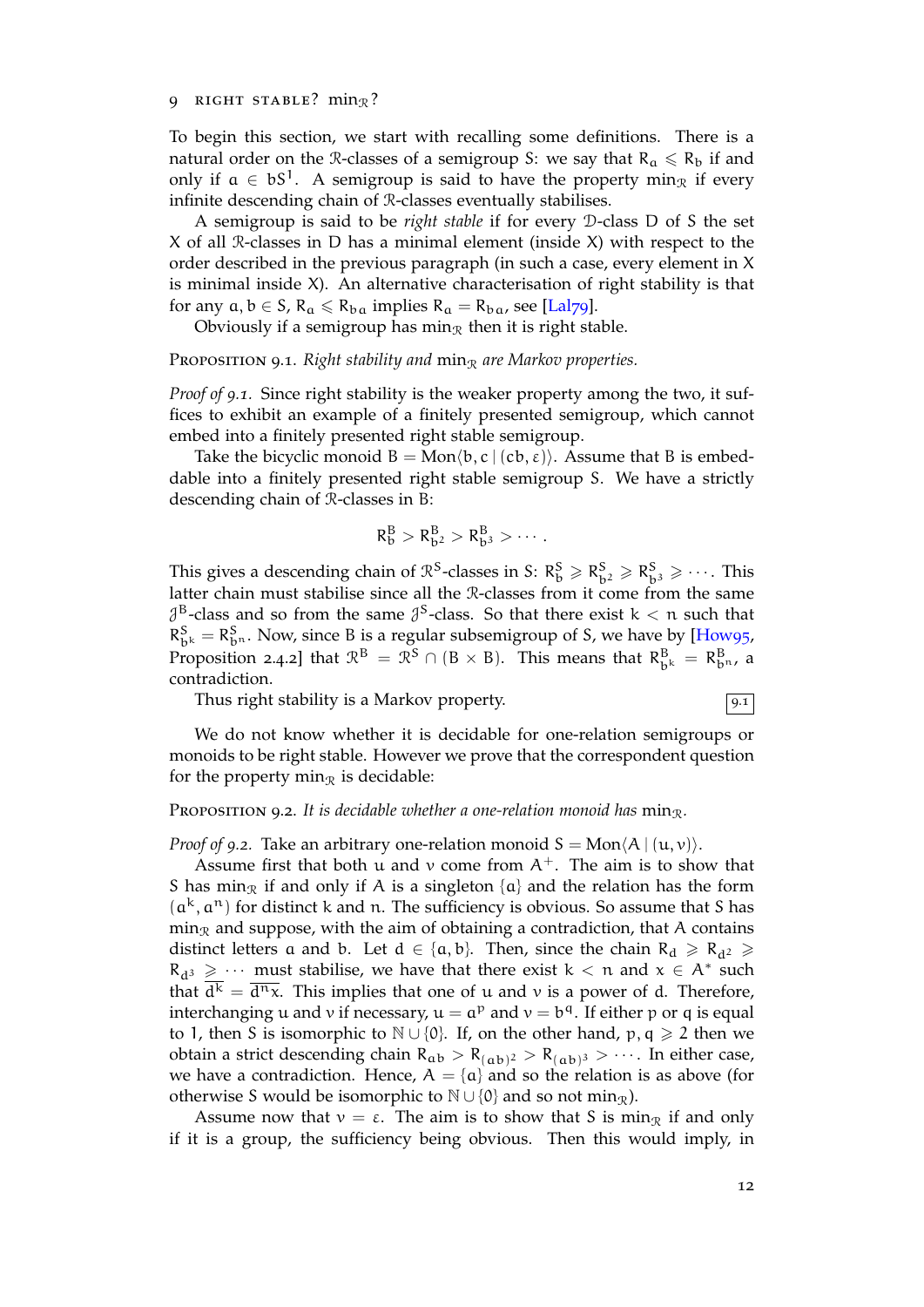#### 9 RIGHT STABLE?  $min_{\mathcal{R}}$ ?

To begin this section, we start with recalling some definitions. There is a natural order on the R-classes of a semigroup S: we say that  $R_a \le R_b$  if and only if  $a \in bS^1$ . A semigroup is said to have the property min<sub>R</sub> if every infinite descending chain of R-classes eventually stabilises.

A semigroup is said to be *right stable* if for every D-class D of S the set X of all R-classes in D has a minimal element (inside X) with respect to the order described in the previous paragraph (in such a case, every element in X is minimal inside X). An alternative characterisation of right stability is that for any  $a, b \in S$ ,  $R_a \le R_{ba}$  implies  $R_a = R_{ba}$ , see [Lal79].

Obviously if a semigroup has min<sub> $\Re$ </sub> then it is right stable.

**PROPOSITION 9.1.** *Right stability and*  $\min_{\mathcal{R}}$  *are Markov properties.* 

*Proof of 9.1.* Since right stability is the weaker pro[perty a](#page-21-13)mong the two, it suffices to exhibit an example of a finitely presented semigroup, which cannot embed into a finitely presented right stable semigroup.

Take the bicyclic monoid  $B = Mon(b, c \mid (cb, \varepsilon))$ . Assume that B is embeddable into a finitely presented right stable semigroup S. We have a strictly descending chain of R-classes in B:

$$
R_b^B > R_{b^2}^B > R_{b^3}^B > \cdots.
$$

This gives a descending chain of  $\mathbb{R}^S$ -classes in S:  $\mathbb{R}^S_{\mathbf{b}} \geq \mathbb{R}^S_{\mathbf{b}^2} \geq \mathbb{R}^S_{\mathbf{b}^3} \geq \cdots$ . This latter chain must stabilise since all the R-classes from it come from the same  $\mathcal{J}^B$ -class and so from the same  $\mathcal{J}^S$ -class. So that there exist  $k < n$  such that  $R_{b^k}^S = R_{b^n}^S$ . Now, since B is a regular subsemigroup of S, we have by [How95, Proposition 2.4.2] that  $\mathbb{R}^B = \mathbb{R}^S \cap (B \times B)$ . This means that  $R^B_{b^k} = R^B_{b^n}$ , a contradiction.

Thus right stability is a Markov property[.](#page-21-14)  $\boxed{9.1}$ 

We do not know whether it is decidable for one-relation semigroups or monoids to be right stable. However we prove that the correspondent question for the property min<sub> $\mathcal{R}$ </sub> is decidable:

#### PROPOSITION 9.2. It is decidable whether a one-relation monoid has  $\min_{\mathcal{R}}$ .

*Proof of 9.2.* Take an arbitrary one-relation monoid  $S = Mon(A | (u, v))$ .

<span id="page-11-0"></span>Assume first that both u and v come from  $A^+$ . The aim is to show that S has min<sub>R</sub> if and only if A is a singleton  $\{a\}$  and the relation has the form  $(a<sup>k</sup>, a<sup>n</sup>)$  for distinct k and n. The sufficiency is obvious. So assume that S has  $\min_{\mathcal{R}}$  and suppose, with the aim of obtaining a contradiction, that A contains distinct letters a and b. Let  $d \in \{a, b\}$ . Then, since the chain  $R_d \ge R_{d^2} \ge$  $R_{d^3} \geq \cdots$  must stabilise, we have that there exist  $k < n$  and  $x \in A^*$  such that  $d^k = d^n x$ . This implies that one of u and v is a power of d. Therefore, interchanging u and v if necessary,  $u = a^p$  and  $v = b^q$ . If either p or q is equal to 1, then S is isomorphic to  $\mathbb{N} \cup \{0\}$ . If, on the other hand, p, q ≥ 2 then we obtain a strict descending chain  $R_{ab} > R_{(ab)^2} > R_{(ab)^3} > \cdots$ . In either case, we have a contradiction. Hence,  $A = \{a\}$  and so the relation is as above (for otherwise S would be isomorphic to  $\mathbb{N} \cup \{0\}$  and so not min<sub>R</sub>).

Assume now that  $v = \varepsilon$ . The aim is to show that S is min<sub>R</sub> if and only if it is a group, the sufficiency being obvious. Then this would imply, in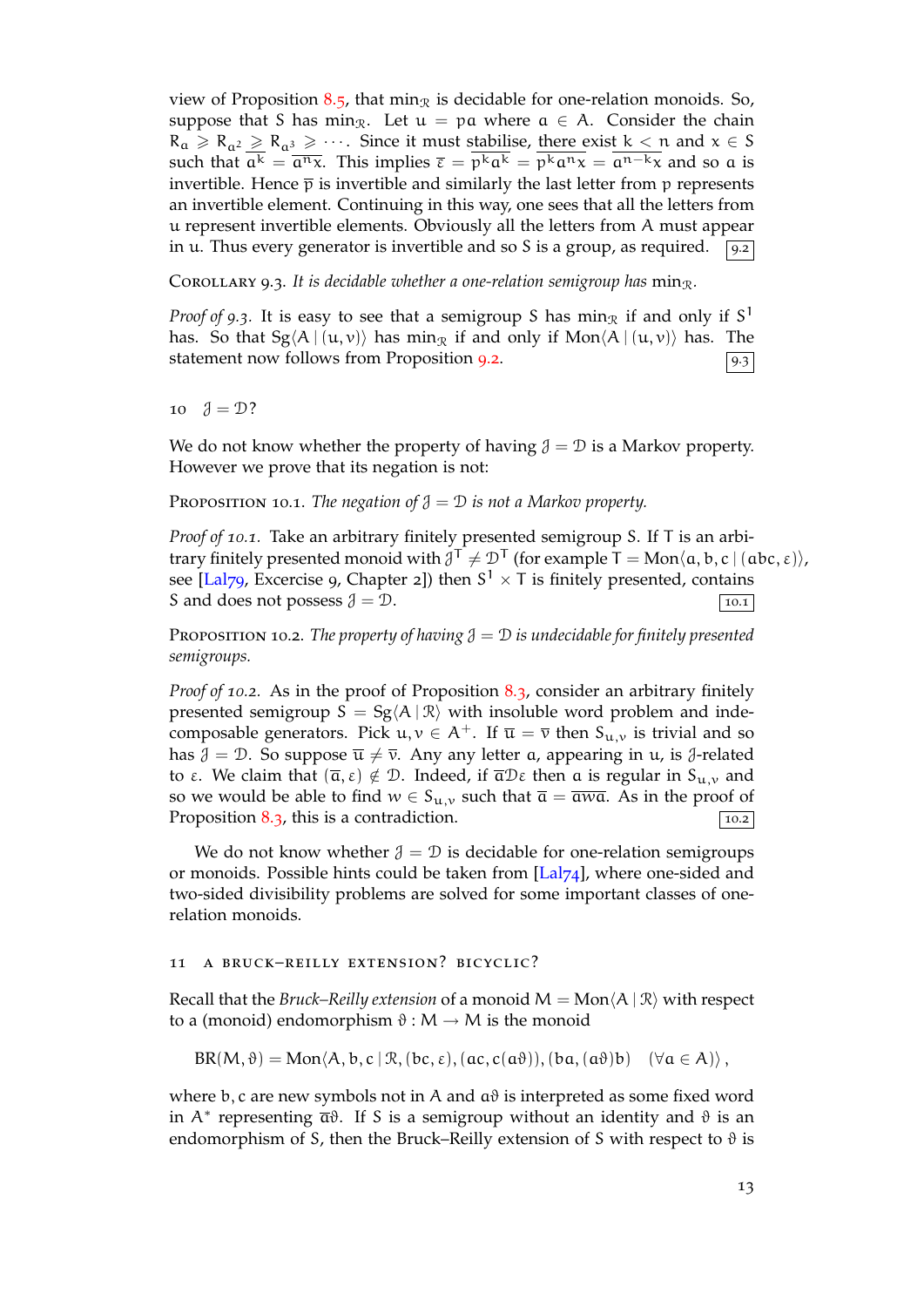view of Proposition 8.5, that min<sub>R</sub> is decidable for one-relation monoids. So, suppose that S has min<sub>R</sub>. Let  $u = pa$  where  $a \in A$ . Consider the chain  $R_a \ge R_{a^2} \ge R_{a^3} \ge \cdots$ . Since it must stabilise, there exist  $k < n$  and  $x \in S$ such that  $a^k = \overline{a^n x}$ . This implies  $\overline{\epsilon} = p^k a^k = p^k a^n x = a^{n-k} x$  and so a is invertible. Hence  $\bar{p}$  [is in](#page-9-1)vertible and similarly the last letter from p represents an invertible element. Continuing in this way, one sees that all the letters from u represent invertible elements. Obviously all the letters from A must appear in u. Thus every generator is invertible and so S is a group, as required.  $\sqrt{9.2}$ 

COROLLARY 9.3. It is decidable whether a one-relation semigroup has  $\min_{\mathcal{R}}$ .

<span id="page-12-0"></span>*Proof of 9.3.* It is easy to see that a semigroup S has  $\min_{\mathcal{R}}$  if and only if S<sup>1</sup> has. So that  $Sg\langle A | (u, v) \rangle$  has min<sub>R</sub> if and only if Mon $\langle A | (u, v) \rangle$  has. The statement now follows from Proposition 9.2.  $\boxed{93}$ 

10  $\vartheta = \mathcal{D}$ ?

We do not know whether the property o[f ha](#page-11-0)ving  $\mathcal{J} = \mathcal{D}$  is a Markov property. However we prove that its negation is not:

PROPOSITION 10.1. *The negation of*  $\mathcal{J} = \mathcal{D}$  *is not a Markov property.* 

<span id="page-12-1"></span>*Proof of 10.1.* Take an arbitrary finitely presented semigroup S. If T is an arbitrary finitely presented monoid with  $\mathcal{J}^{\mathsf{T}} \neq \mathcal{D}^{\mathsf{T}}$  (for example  $\mathsf{T} = \text{Mon}\langle \mathsf{a}, \mathsf{b}, \mathsf{c} \mid (\mathsf{abc}, \mathsf{\varepsilon}) \rangle$ , see [Lal79, Excercise 9, Chapter 2]) then  $S^1 \times T$  is finitely presented, contains S and does not possess  $\mathcal{J} = \mathcal{D}$ .

PROPOSITION 10.2. *The property of having*  $\mathcal{J} = \mathcal{D}$  *is undecidable for finitely presented semi[groups](#page-21-13).*

<span id="page-12-2"></span>*Proof of 10.2.* As in the proof of Proposition 8.3, consider an arbitrary finitely presented semigroup  $S = Sg\langle A | \mathcal{R} \rangle$  with insoluble word problem and indecomposable generators. Pick  $u, v \in A^+$ . If  $\overline{u} = \overline{v}$  then  $S_{u,v}$  is trivial and so has  $\mathcal{J} = \mathcal{D}$ . So suppose  $\bar{u} \neq \bar{v}$ . Any any letter a, appearing in u, is  $\mathcal{J}$ -related to ε. We claim that  $(\bar{\alpha}, \epsilon) \notin \mathcal{D}$  $(\bar{\alpha}, \epsilon) \notin \mathcal{D}$  $(\bar{\alpha}, \epsilon) \notin \mathcal{D}$ . Indeed, if  $\bar{\alpha} \mathcal{D} \epsilon$  then a is regular in S<sub>u,v</sub> and so we would be able to find  $w \in S_{u,v}$  such that  $\overline{a} = \overline{awa}$ . As in the proof of Proposition 8.3, this is a contradiction.  $\boxed{10.2}$ 

We do not know whether  $\mathcal{J} = \mathcal{D}$  is decidable for one-relation semigroups or monoids. Possible hints could be taken from  $[Lal74]$ , where one-sided and two-sided [divis](#page-8-0)ibility problems are solved for some important classes of onerelation monoids.

## 11 a bruck–reilly extension? bicyclic[?](#page-21-3)

Recall that the *Bruck–Reilly extension* of a monoid  $M = Mon\langle A | \mathcal{R} \rangle$  with respect to a (monoid) endomorphism  $\vartheta : M \to M$  is the monoid

 $BR(M, \vartheta) = Mon(A, b, c | \mathcal{R}, (bc, \varepsilon), (ac, c(a\vartheta)), (ba, (a\vartheta)b) \quad (\forall a \in A) \rangle,$ 

where b, c are new symbols not in A and  $a\theta$  is interpreted as some fixed word in A*<sup>∗</sup>* representing aϑ. If S is a semigroup without an identity and ϑ is an endomorphism of S, then the Bruck–Reilly extension of S with respect to  $\vartheta$  is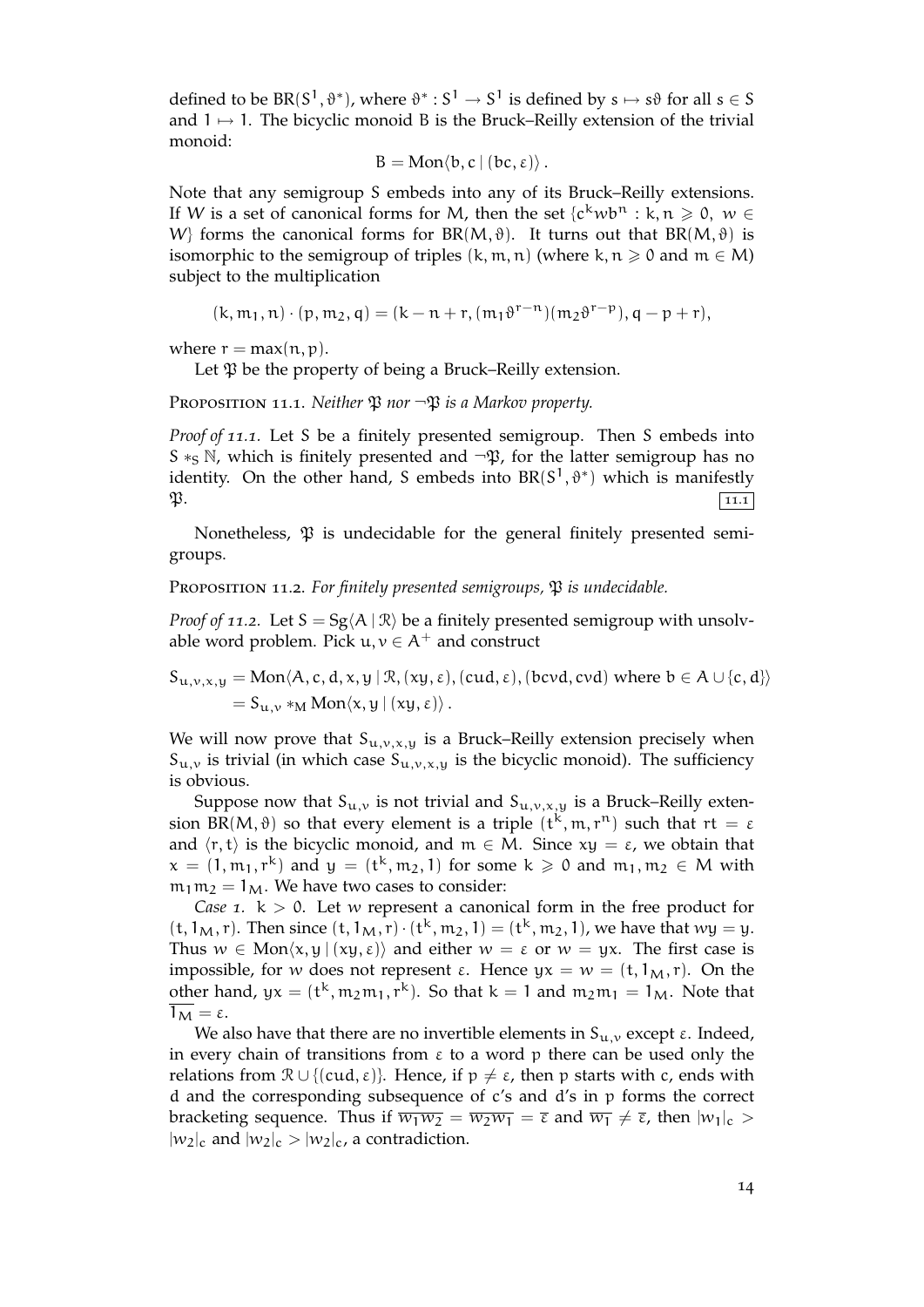defined to be  $BR(S^1, \vartheta^*)$ , where  $\vartheta^* : S^1 \to S^1$  is defined by  $s \mapsto s\vartheta$  for all  $s \in S$ and 1 → 1. The bicyclic monoid B is the Bruck–Reilly extension of the trivial monoid:

$$
B = \text{Mon}\langle b, c \mid (bc, \varepsilon) \rangle.
$$

Note that any semigroup S embeds into any of its Bruck–Reilly extensions. If W is a set of canonical forms for M, then the set  $\{c^k w b^n : k, n \ge 0, w \in$ W<sub>i</sub> forms the canonical forms for BR(M,  $\vartheta$ ). It turns out that BR(M,  $\vartheta$ ) is isomorphic to the semigroup of triples  $(k, m, n)$  (where  $k, n \geq 0$  and  $m \in M$ ) subject to the multiplication

$$
(k, m_1, n) \cdot (p, m_2, q) = (k - n + r, (m_1 \vartheta^{r - n})(m_2 \vartheta^{r - p}), q - p + r),
$$

where  $r = max(n, p)$ .

Let  $\mathfrak P$  be the property of being a Bruck–Reilly extension.

<span id="page-13-0"></span>PROPOSITION 11.1. *Neither*  $\mathfrak{P}$  *nor*  $\neg \mathfrak{P}$  *is a Markov property.* 

*Proof of 11.1.* Let S be a finitely presented semigroup. Then S embeds into S *∗*<sub>S</sub> N, which is finitely presented and  $\neg$ **φ**, for the latter semigroup has no identity. On the other hand, S embeds into  $BR(S^1, \vartheta^*)$  which is manifestly  $\mathfrak{P}.$  11.1

Nonetheless,  $\mathfrak P$  is undecidable for the general finitely presented semigroups.

<span id="page-13-1"></span>PROPOSITION 11.2. For finitely presented semigroups,  $\mathfrak P$  *is undecidable.* 

*Proof of 11.2.* Let  $S = Sg \langle A | R \rangle$  be a finitely presented semigroup with unsolvable word problem. Pick  $u, v \in A^+$  and construct

 $S_{u,v,x,y} = \text{Mon}\langle A,c,d,x,y \mid \mathcal{R},(\mathsf{xy},\varepsilon),(\mathsf{cud},\varepsilon),(\mathsf{bcvd},\mathsf{cvd})$  where  $b \in A \cup \{c,d\}\rangle$  $= S_{u,v} *_{M} \text{Mon}\langle x,y \mid (xy,\varepsilon) \rangle$ .

We will now prove that  $S_{u,v,x,y}$  is a Bruck–Reilly extension precisely when  $S_{u,v}$  is trivial (in which case  $S_{u,v,x,y}$  is the bicyclic monoid). The sufficiency is obvious.

Suppose now that  $S_{u,v}$  is not trivial and  $S_{u,v,x,y}$  is a Bruck–Reilly extension BR(M,  $\vartheta$ ) so that every element is a triple  $(t^k, m, r^n)$  such that  $rt = \varepsilon$ and  $\langle r, t \rangle$  is the bicyclic monoid, and  $m \in M$ . Since  $xy = \varepsilon$ , we obtain that  $x = (1, m_1, r^k)$  and  $y = (t^k, m_2, 1)$  for some  $k \ge 0$  and  $m_1, m_2 \in M$  with  $m_1 m_2 = 1_M$ . We have two cases to consider:

*Case* 1.  $k > 0$ . Let w represent a canonical form in the free product for  $(t, 1_M, r)$ . Then since  $(t, 1_M, r) \cdot (t^k, m_2, 1) = (t^k, m_2, 1)$ , we have that  $wy = y$ . Thus  $w \in \text{Mon}\langle x, y | (xy, \varepsilon) \rangle$  and either  $w = \varepsilon$  or  $w = yx$ . The first case is impossible, for w does not represent  $\varepsilon$ . Hence  $yx = w = (t, 1_M, r)$ . On the other hand,  $yx = (t^k, m_2m_1, r^k)$ . So that  $k = 1$  and  $m_2m_1 = 1_M$ . Note that  $1_M = \varepsilon$ .

We also have that there are no invertible elements in  $S_{u,v}$  except  $\varepsilon$ . Indeed, in every chain of transitions from  $\varepsilon$  to a word p there can be used only the relations from  $\mathcal{R} \cup \{ (cud, \varepsilon) \}$ . Hence, if  $p \neq \varepsilon$ , then p starts with c, ends with d and the corresponding subsequence of c's and d's in p forms the correct bracketing sequence. Thus if  $\overline{w_1w_2} = \overline{w_2w_1} = \overline{\epsilon}$  and  $\overline{w_1} \neq \overline{\epsilon}$ , then  $|w_1|_c >$  $|w_2|_c$  and  $|w_2|_c > |w_2|_c$ , a contradiction.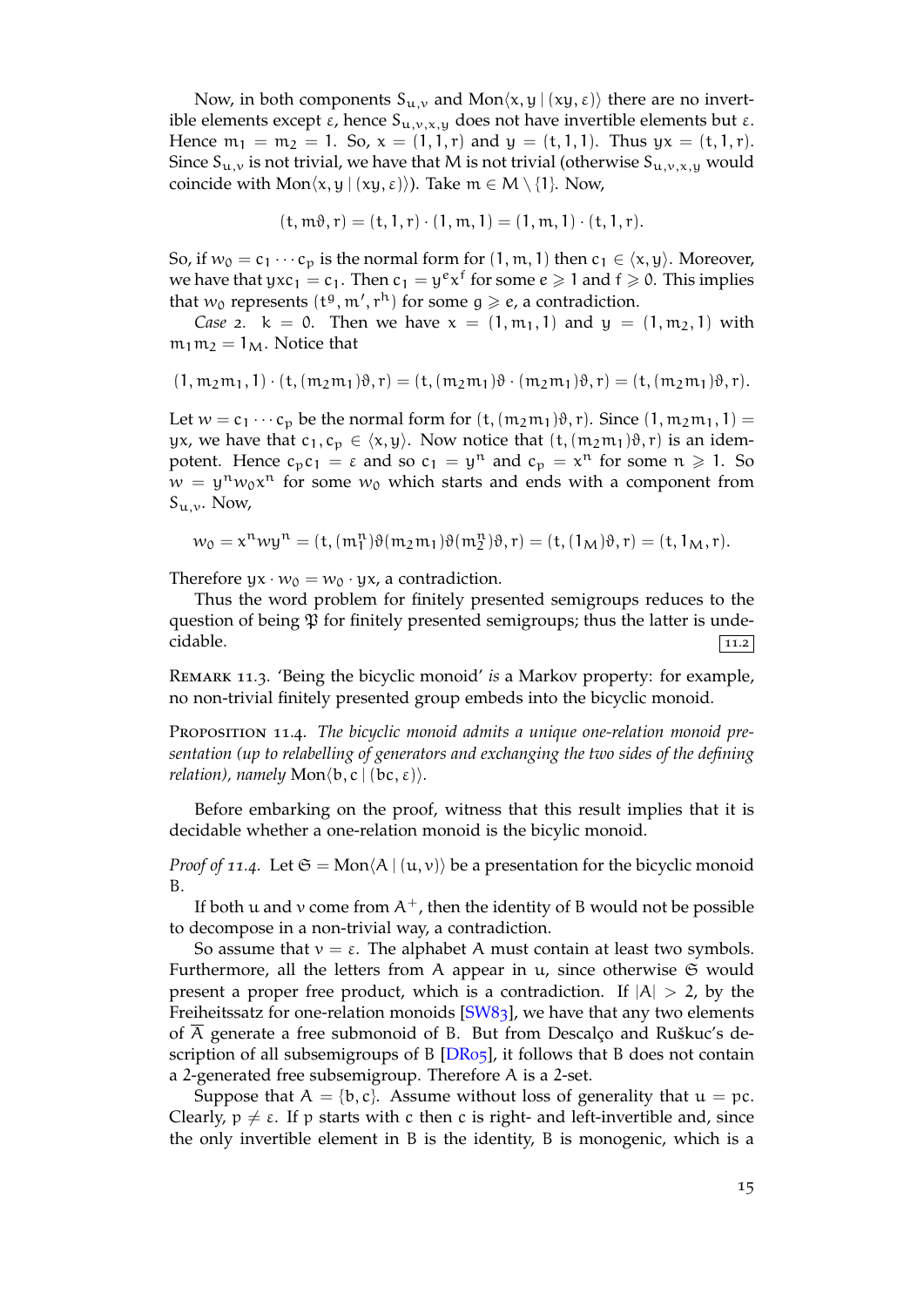Now, in both components  $S_{u,v}$  and Mon $\langle x, y | (xy, \varepsilon) \rangle$  there are no invertible elements except  $\varepsilon$ , hence  $S_{u,v,x,y}$  does not have invertible elements but  $\varepsilon$ . Hence  $m_1 = m_2 = 1$ . So,  $x = (1, 1, r)$  and  $y = (t, 1, 1)$ . Thus  $yx = (t, 1, r)$ . Since  $S_{u,v}$  is not trivial, we have that M is not trivial (otherwise  $S_{u,v,x,y}$  would coincide with  $Mon\langle x, y | (xy, \varepsilon) \rangle$ ). Take  $m \in M \setminus \{1\}$ . Now,

$$
(\mathsf{t},\mathfrak{m}\vartheta,\mathfrak{r}) = (\mathsf{t},1,\mathfrak{r}) \cdot (1,\mathfrak{m},1) = (1,\mathfrak{m},1) \cdot (\mathfrak{t},1,\mathfrak{r}).
$$

So, if  $w_0 = c_1 \cdots c_p$  is the normal form for  $(1, m, 1)$  then  $c_1 \in \langle x, y \rangle$ . Moreover, we have that yx $c_1 = c_1$ . Then  $c_1 = y^e x^f$  for some  $e \geqslant 1$  and  $f \geqslant 0$ . This implies that  $w_0$  represents  $(t^g, m', r^h)$  for some  $g \geqslant e$ , a contradiction.

*Case* 2.  $k = 0$ . Then we have  $x = (1, m_1, 1)$  and  $y = (1, m_2, 1)$  with  $m_1m_2 = 1_M$ . Notice that

$$
(1, m_2m_1, 1) \cdot (t, (m_2m_1)\vartheta, r) = (t, (m_2m_1)\vartheta \cdot (m_2m_1)\vartheta, r) = (t, (m_2m_1)\vartheta, r).
$$

Let  $w = c_1 \cdots c_p$  be the normal form for  $(t, (m_2m_1)\vartheta, r)$ . Since  $(1, m_2m_1, 1)$  = yx, we have that  $c_1, c_p \in \langle x, y \rangle$ . Now notice that  $(t, (m_2m_1)\vartheta, r)$  is an idempotent. Hence  $c_p c_1 = \varepsilon$  and so  $c_1 = y^n$  and  $c_p = x^n$  for some  $n \ge 1$ . So  $w = y^n w_0 x^n$  for some  $w_0$  which starts and ends with a component from  $S_{u,v}$ . Now,

$$
w_0 = x^n w y^n = (t, (\mathfrak{m}_1^n) \vartheta(\mathfrak{m}_2 \mathfrak{m}_1) \vartheta(\mathfrak{m}_2^n) \vartheta, r) = (t, (1_M) \vartheta, r) = (t, 1_M, r).
$$

Therefore  $yx \cdot w_0 = w_0 \cdot yx$ , a contradiction.

Thus the word problem for finitely presented semigroups reduces to the question of being  $\mathfrak P$  for finitely presented semigroups; thus the latter is unde- $\alpha$  cidable.

Remark 11.3. 'Being the bicyclic monoid' *is* a Markov property: for example, no non-trivial finitely presented group embeds into the bicyclic monoid.

<span id="page-14-0"></span>Proposition 11.4. *The bicyclic monoid admits a unique one-relation monoid presentation (up to relabelling of generators and exchanging the two sides of the defining relation), namely*  $Mon(b, c | (bc, \varepsilon))$ *.* 

<span id="page-14-1"></span>Before embarking on the proof, witness that this result implies that it is decidable whether a one-relation monoid is the bicylic monoid.

*Proof of 11.4.* Let  $\mathfrak{S} = \text{Mon} \langle A \mid (\mathbf{u}, \mathbf{v}) \rangle$  be a presentation for the bicyclic monoid B.

If both u and v come from  $A^+$ , then the identity of B would not be possible to decompose in a non-trivial way, a contradiction.

So assume that  $v = \varepsilon$ . The alphabet A must contain at least two symbols. Furthermore, all the letters from A appear in  $u$ , since otherwise  $\mathfrak S$  would present a proper free product, which is a contradiction. If  $|A| > 2$ , by the Freiheitssatz for one-relation monoids [SW83], we have that any two elements of A generate a free submonoid of B. But from Descalço and Ruškuc's description of all subsemigroups of B  $[DR_{05}]$ , it follows that B does not contain a 2-generated free subsemigroup. Therefore A is a 2-set.

Suppose that  $A = \{b, c\}$ . Assume [withou](#page-21-11)t loss of generality that  $u = pc$ . Clearly,  $p \neq \varepsilon$ . If p starts with c then c is right- and left-invertible and, since the only invertible element in B is [the id](#page-20-8)entity, B is monogenic, which is a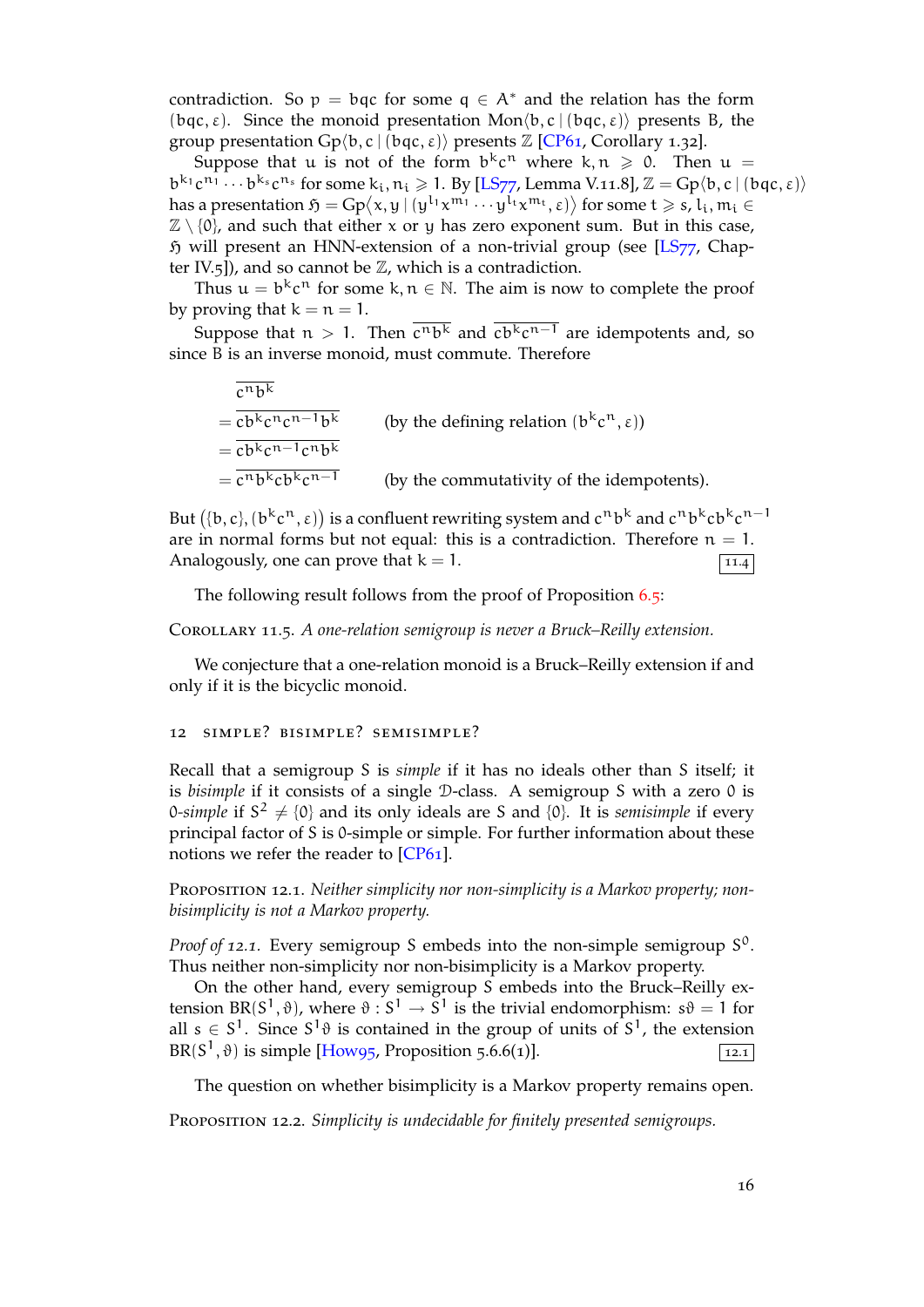contradiction. So  $p = bq$  for some  $q \in A^*$  and the relation has the form (bqc, ε). Since the monoid presentation Mon*⟨*b, c | (bqc, ε)*⟩* presents B, the group presentation  $Gp\langle b, c \mid (bqc, \varepsilon) \rangle$  presents  $\mathbb{Z}$  [CP61, Corollary 1.32].

Suppose that u is not of the form  $b^k c^n$  where  $k, n \geq 0$ . Then  $u =$  $b^{k_1}c^{n_1} \cdots b^{k_s}c^{n_s}$  for some  $k_i, n_i \geq 1$ . By [LS77, Lemma V.11.8],  $\mathbb{Z} = \text{Gp}\langle b, c \mid (bqc, \varepsilon)\rangle$ has a presentation  $\mathfrak{H} = \text{Gp}\langle x, y \mid (y^{l_1}x^{m_1} \cdots y^{l_t}x^{m_t}, \varepsilon) \rangle$  for some  $t \geqslant s, l_i, m_i \in$  $\mathbb{Z} \setminus \{0\}$ , and such that either x or y has zero exp[onent](#page-20-7) sum. But in this case,  $\mathfrak H$  will present an HNN-extension of a non-trivial group (see [LS77, Chapter IV.5]), and so cannot be  $\mathbb{Z}$ , which is a [contra](#page-21-10)diction.

Thus  $u = b^k c^n$  for some k,  $n \in \mathbb{N}$ . The aim is now to complete the proof by proving that  $k = n = 1$ .

Suppose that  $n > 1$ . Then c<sup>n</sup>b<sup>k</sup> and cb<sup>k</sup>c<sup>n−1</sup> are idempo[tents a](#page-21-10)nd, so since B is an inverse monoid, must commute. Therefore

 $\overline{c^n b^k}$  $= \overline{cb^k c^n c^{n-1} b^k}$  (by the defining relation  $(b^k c^n, \varepsilon)$ )  $=\overline{cb^kc^{n-1}c^nb^k}$  $=\overline{c^n b^k cb^k c^{n-1}}$  (by the commutativity of the idempotents).

But  $(\{b, c\}, (b^k c^n, \varepsilon))$  is a confluent rewriting system and  $c^n b^k$  and  $c^n b^k c b^k c^{n-1}$ are in normal forms but not equal: this is a contradiction. Therefore  $n = 1$ . Analogously, one can prove that  $k = 1$ .

The following result follows from the proof of Proposition 6.5:

Corollary 11.5. *A one-relation semigroup is never a Bruck–Reilly extension.*

<span id="page-15-0"></span>We conjecture that a one-relation monoid is a Bruck–Reilly [exte](#page-5-0)nsion if and only if it is the bicyclic monoid.

## 12 simple? bisimple? semisimple?

Recall that a semigroup S is *simple* if it has no ideals other than S itself; it is *bisimple* if it consists of a single D-class. A semigroup S with a zero 0 is 0-simple if  $S^2 \neq \{0\}$  and its only ideals are S and  $\{0\}$ . It is *semisimple* if every principal factor of S is 0-simple or simple. For further information about these notions we refer the reader to [CP61].

PROPOSITION 12.1. *Neither simplicity nor non-simplicity is a Markov property; nonbisimplicity is not a Markov property.*

<span id="page-15-1"></span>Proof of 12.1. Every semigroup [S](#page-20-7) embeds into the non-simple semigroup  $S^0$ . Thus neither non-simplicity nor non-bisimplicity is a Markov property.

On the other hand, every semigroup S embeds into the Bruck–Reilly extension BR( $S^1$ ,  $\vartheta$ ), where  $\vartheta$  :  $S^1 \to S^1$  is the trivial endomorphism:  $s\vartheta = 1$  for all  $s \in S^1$ . Since  $S^1$  $\vartheta$  is contained in the group of units of  $S^1$ , the extension BR( $S^1$ , $\vartheta$ ) is simple [How95, Proposition 5.6.6(1)].

The question on whether bisimplicity is a Markov property remains open.

<span id="page-15-2"></span>Proposition 12.2. *[Simplicity](#page-21-14) is undecidable for finitely presented semigroups.*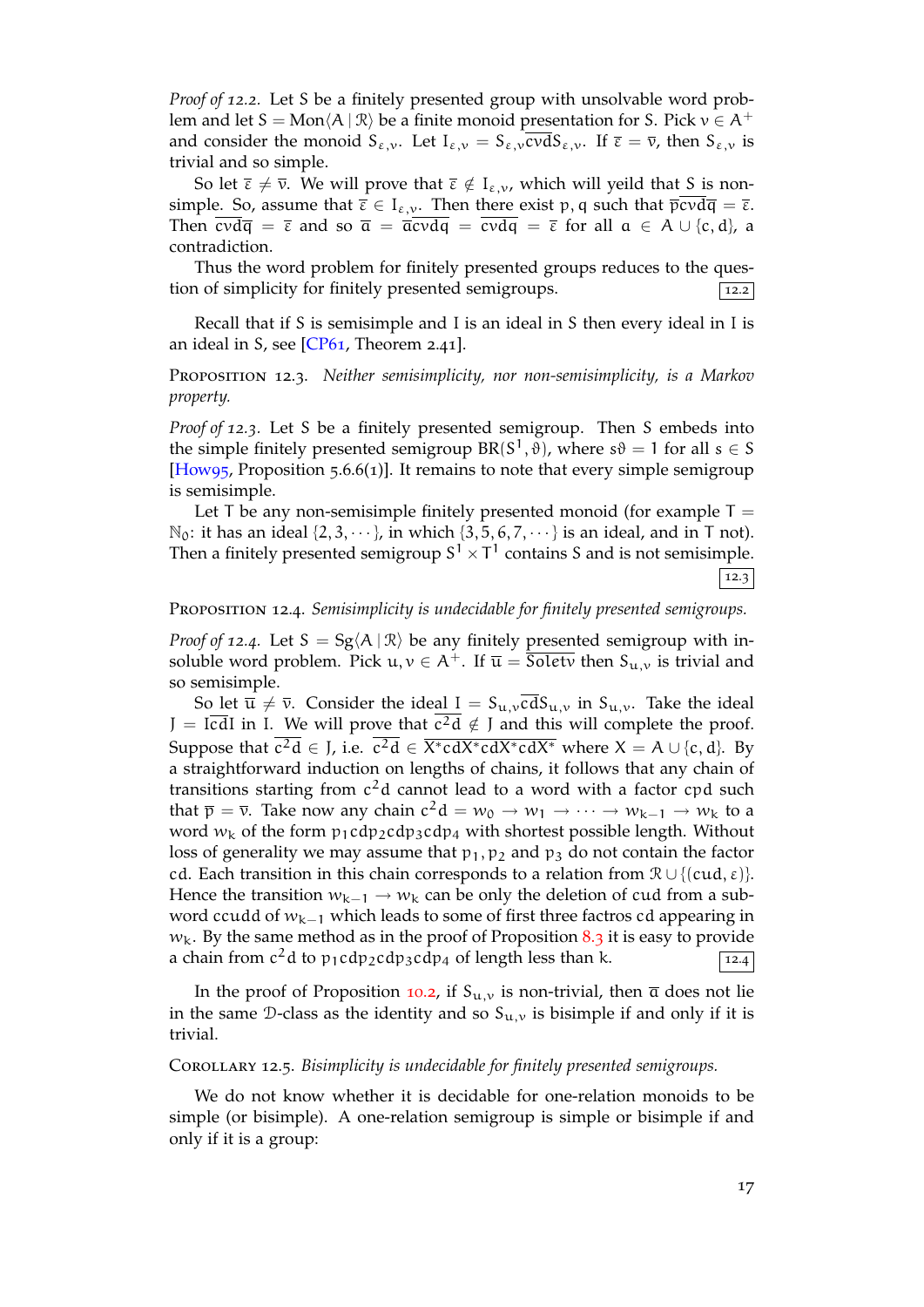*Proof of 12.2.* Let S be a finitely presented group with unsolvable word problem and let  $S = Mon\langle A | \mathcal{R} \rangle$  be a finite monoid presentation for S. Pick  $v \in A^+$ and consider the monoid  $S_{\varepsilon,\nu}$ . Let  $I_{\varepsilon,\nu} = S_{\varepsilon,\nu} c \nu dS_{\varepsilon,\nu}$ . If  $\overline{\varepsilon} = \overline{\nu}$ , then  $S_{\varepsilon,\nu}$  is trivial and so simple.

So let  $\overline{\epsilon} \neq \overline{\nu}$ . We will prove that  $\overline{\epsilon} \notin I_{\epsilon,\nu}$ , which will yeild that S is nonsimple. So, assume that  $\overline{\varepsilon} \in I_{\varepsilon,\nu}$ . Then there exist p, q such that  $\overline{\overline{\text{p}}\text{cvd}\overline{\text{q}}} = \overline{\varepsilon}$ . Then  $\text{cvd}\overline{q} = \overline{\epsilon}$  and so  $\overline{a} = \overline{a}\text{cvd}q = \text{cvd}q = \overline{\epsilon}$  for all  $a \in A \cup \{c, d\}$ , a contradiction.

Thus the word problem for finitely presented groups reduces to the question of simplicity for finitely presented semigroups.  $\boxed{12.2}$ 

Recall that if S is semisimple and I is an ideal in S then every ideal in I is an ideal in S, see  $[CP61,$  Theorem 2.41].

Proposition 12.3. *Neither semisimplicity, nor non-semisimplicity, is a Markov property.*

<span id="page-16-2"></span>*Proof of 12.3.* Let S [be a](#page-20-7) finitely presented semigroup. Then S embeds into the simple finitely presented semigroup  $BR(S^1, \vartheta)$ , where  $s\vartheta = 1$  for all  $s \in S$ [How95, Proposition 5.6.6(1)]. It remains to note that every simple semigroup is semisimple.

Let T be any non-semisimple finitely presented monoid (for example  $T =$  $\mathbb{N}_0$ : it has an ideal  $\{2, 3, \dots\}$ , in which  $\{3, 5, 6, 7, \dots\}$  is an ideal, and in T not). [Then a fi](#page-21-14)nitely presented semigroup  $S^1 \times T^1$  contains S and is not semisimple. 12.3

Proposition 12.4. *Semisimplicity is undecidable for finitely presented semigroups.*

*Proof of* 12.4. Let  $S = Sg(A | \mathcal{R})$  be any finitely presented semigroup with insoluble word problem. Pick  $u, v \in A^+$ . If  $\overline{u} = \overline{S_{0}}$  is trivial and  $S_{u,v}$  is trivial and so semisimple.

<span id="page-16-3"></span>So let  $\overline{u} \neq \overline{v}$ . Consider the ideal  $I = S_{u,v} c dS_{u,v}$  in  $S_{u,v}$ . Take the ideal  $J = I \overline{c} dI$  in I. We will prove that  $c^2 d \notin J$  and this will complete the proof. Suppose that  $c^2d \in J$ , i.e.  $c^2d \in \overline{X^*cdX^*cdX^*cdX^*}$  where  $X = A \cup \{c, d\}$ . By a straightforward induction on lengths of chains, it follows that any chain of transitions starting from  $c^2d$  cannot lead to a word with a factor  $cpd$  such that  $\bar{p} = \bar{v}$ . Take now any chain  $c^2d = w_0 \to w_1 \to \cdots \to w_{k-1} \to w_k$  to a word  $w_k$  of the form  $p_1$ cdp<sub>2</sub>cdp<sub>3</sub>cdp<sub>4</sub> with shortest possible length. Without loss of generality we may assume that  $p_1, p_2$  and  $p_3$  do not contain the factor cd. Each transition in this chain corresponds to a relation from  $\mathcal{R} \cup \{ (cud, \varepsilon) \}$ . Hence the transition  $w_{k-1} \rightarrow w_k$  can be only the deletion of cud from a subword ccudd of  $w_{k-1}$  which leads to some of first three factros cd appearing in  $w_k$ . By the same method as in the proof of Proposition 8.3 it is easy to provide a chain from  $c^2$ d to p<sub>1</sub>cdp<sub>2</sub>cdp<sub>3</sub>cdp<sub>4</sub> of length less than k.  $\sqrt{12.4}$ 

In the proof of Proposition 10.2, if  $S_{u,v}$  is non-trivial, then  $\overline{a}$  does not lie in the same D-class as the identity and so  $S_{u,v}$  is bisi[mpl](#page-8-0)e if and only if it is trivial.

#### Corollary 12.5. *Bisimplicity is [unde](#page-12-2)cidable for finitely presented semigroups.*

<span id="page-16-1"></span><span id="page-16-0"></span>We do not know whether it is decidable for one-relation monoids to be simple (or bisimple). A one-relation semigroup is simple or bisimple if and only if it is a group: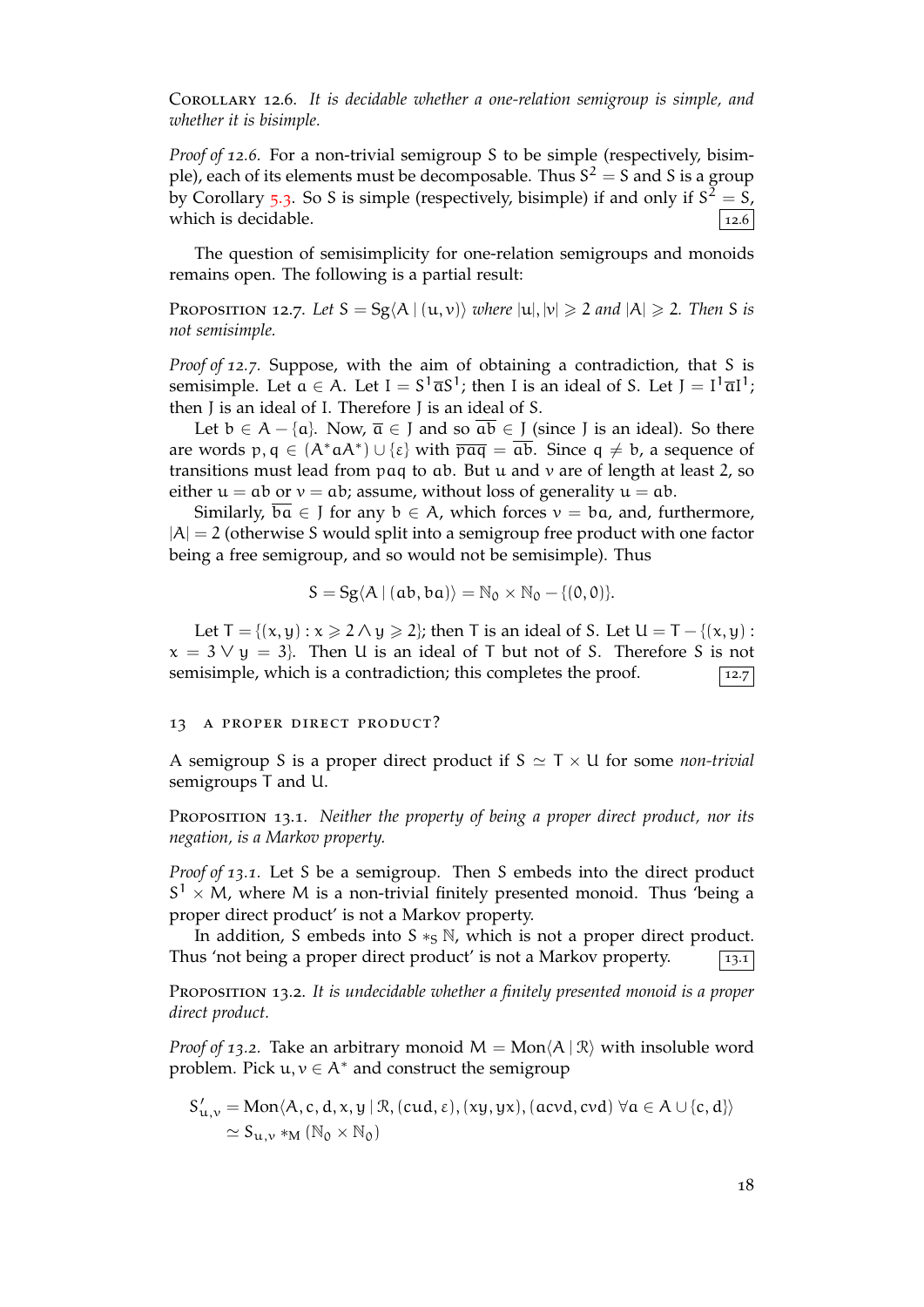Corollary 12.6. *It is decidable whether a one-relation semigroup is simple, and whether it is bisimple.*

*Proof of 12.6.* For a non-trivial semigroup S to be simple (respectively, bisimple), each of its elements must be decomposable. Thus S<sup>2</sup> = S and S is a group by Corollary 5.3. So S is simple (respectively, bisimple) if and only if  $S^{\tilde{2}} = \tilde{S}$ , which is decidable.  $\vert$  12.6  $\vert$  12.6  $\vert$  12.6

The question of semisimplicity for one-relation semigroups and monoids remains ope[n. Th](#page-4-2)e following is a partial result:

PROPOSITION 12.7. Let  $S = Sg\langle A | (u, v) \rangle$  *where*  $|u|, |v| \geq 2$  *and*  $|A| \geq 2$ . Then S is *not semisimple.*

*Proof of 12.7.* Suppose, with the aim of obtaining a contradiction, that S is semisimple. Let  $a \in A$ . Let  $I = S^1 \overline{a} S^1$ ; then I is an ideal of S. Let  $J = I^1 \overline{a} I^1$ ; then J is an ideal of I. Therefore J is an ideal of S.

Let  $b \in A - \{a\}$ . Now,  $\overline{a} \in J$  and so  $\overline{ab} \in J$  (since J is an ideal). So there are words  $p, q \in (A^*aA^*) \cup \{\epsilon\}$  with  $\overline{paq} = ab$ . Since  $q \neq b$ , a sequence of transitions must lead from  $paq$  to  $ab$ . But  $u$  and  $v$  are of length at least 2, so either  $u = ab$  or  $v = ab$ ; assume, without loss of generality  $u = ab$ .

Similarly,  $ba \in J$  for any  $b \in A$ , which forces  $v = ba$ , and, furthermore,  $|A| = 2$  (otherwise S would split into a semigroup free product with one factor being a free semigroup, and so would not be semisimple). Thus

$$
S = Sg\langle A | (ab, ba) \rangle = \mathbb{N}_0 \times \mathbb{N}_0 - \{(0, 0)\}.
$$

Let  $T = \{(x, y) : x \ge 2 \land y \ge 2\}$ ; then T is an ideal of S. Let  $U = T - \{(x, y) : x \ge 2 \land y \ge 2\}$  $x = 3 \vee y = 3$ . Then U is an ideal of T but not of S. Therefore S is not semisimple, which is a contradiction; this completes the proof.  $\boxed{12.7}$ 

#### 13 a proper direct product?

A semigroup S is a proper direct product if S *≃* T *×* U for some *non-trivial* semigroups T and U.

Proposition 13.1. *Neither the property of being a proper direct product, nor its negation, is a Markov property.*

<span id="page-17-0"></span>*Proof of 13.1.* Let S be a semigroup. Then S embeds into the direct product S <sup>1</sup> *<sup>×</sup>* <sup>M</sup>, where <sup>M</sup> is a non-trivial finitely presented monoid. Thus 'being a proper direct product' is not a Markov property.

In addition, S embeds into  $S \ast_S N$ , which is not a proper direct product. Thus 'not being a proper direct product' is not a Markov property.  $\boxed{13.1}$ 

Proposition 13.2. *It is undecidable whether a finitely presented monoid is a proper direct product.*

<span id="page-17-1"></span>*Proof of 13.2.* Take an arbitrary monoid  $M = Mon \langle A | R \rangle$  with insoluble word problem. Pick  $u, v \in A^*$  and construct the semigroup

$$
S'_{u,v} = Mon\langle A, c, d, x, y | R, (cud, \varepsilon), (xy, yx), (acvd, cvd) \forall a \in A \cup \{c, d\}\rangle
$$
  
 
$$
\simeq S_{u,v} *_{M} (N_0 \times N_0)
$$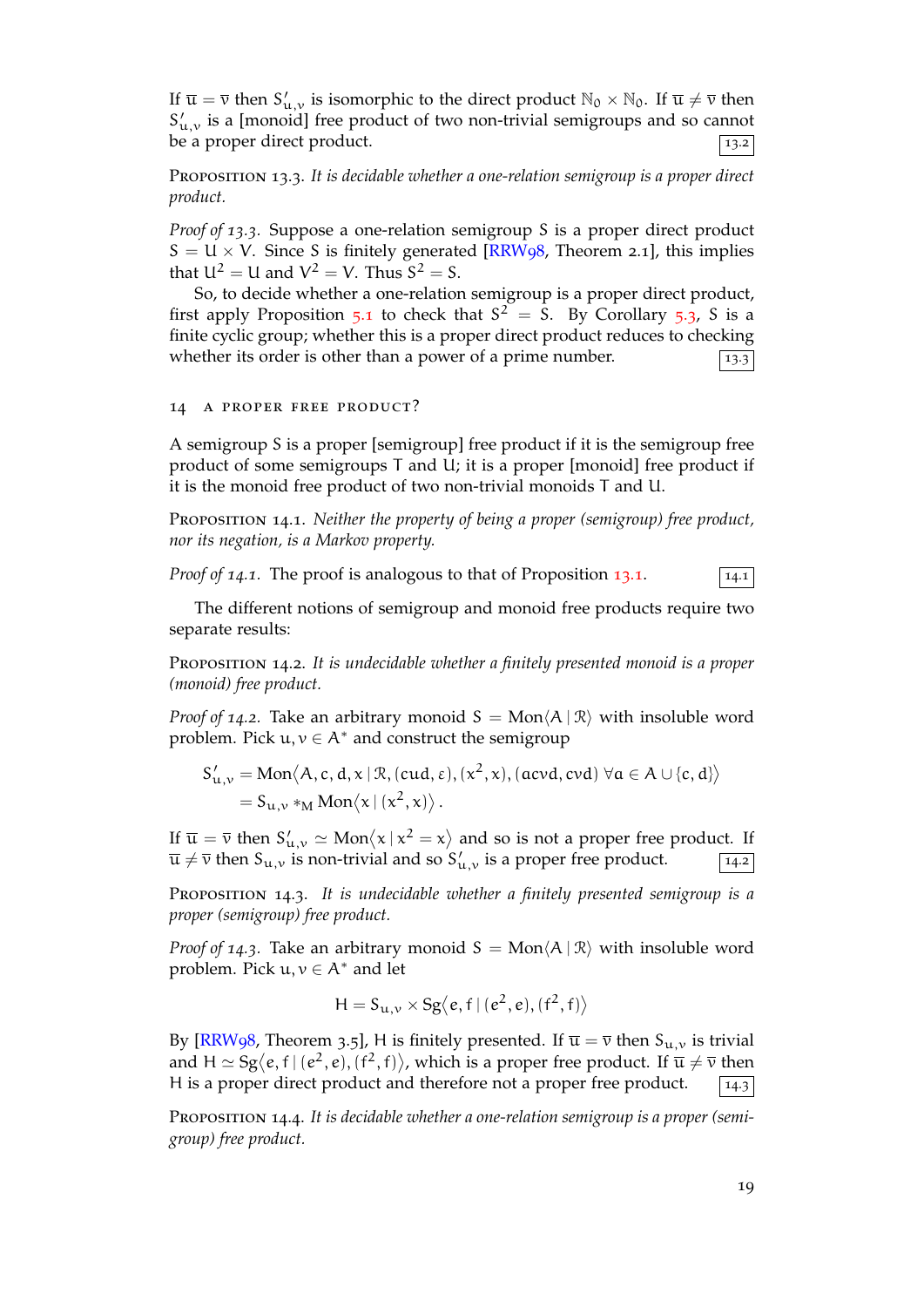If  $\overline{u} = \overline{v}$  then  $S'_{u,v}$  is isomorphic to the direct product  $\mathbb{N}_0 \times \mathbb{N}_0$ . If  $\overline{u} \neq \overline{v}$  then  $S'_{u,v}$  is a [monoid] free product of two non-trivial semigroups and so cannot be a proper direct product.  $\boxed{13.2}$ 

Proposition 13.3. *It is decidable whether a one-relation semigroup is a proper direct product.*

<span id="page-18-0"></span>*Proof of 13.3.* Suppose a one-relation semigroup S is a proper direct product  $S = U \times V$ . Since S is finitely generated [RRW98, Theorem 2.1], this implies that  $U^2 = U$  and  $V^2 = V$ . Thus  $S^2 = S$ .

So, to decide whether a one-relation semigroup is a proper direct product, first apply Proposition 5.1 to check that  $S^2 = S$ . By Corollary 5.3, S is a finite cyclic group; whether this is a prope[r direct p](#page-21-15)roduct reduces to checking whether its order is other than a power of a prime number.  $\sqrt{13.3}$ 

14 a proper free p[rod](#page-4-1)uct?

A semigroup S is a proper [semigroup] free product if it is the semigroup free product of some semigroups T and U; it is a proper [monoid] free product if it is the monoid free product of two non-trivial monoids T and U.

Proposition 14.1. *Neither the property of being a proper (semigroup) free product, nor its negation, is a Markov property.*

<span id="page-18-1"></span>*Proof of 14.1.* The proof is analogous to that of Proposition 13.1.  $\boxed{14.1}$ 

The different notions of semigroup and monoid free products require two separate results:

Proposition 14.2. *It is undecidable whether a finitely present[ed mo](#page-17-0)noid is a proper (monoid) free product.*

*Proof of 14.2.* Take an arbitrary monoid  $S = Mon\langle A | R \rangle$  with insoluble word problem. Pick  $u, v \in A^*$  and construct the semigroup

$$
S'_{u,v} = Mon\langle A, c, d, x | \mathcal{R}, (cud, \varepsilon), (x^2, x), (acvd, cvd) \; \forall a \in A \cup \{c, d\} \rangle
$$
  
= S<sub>u,v</sub> \*<sub>M</sub> Mon $\langle x | (x^2, x) \rangle$ .

If  $\overline{u} = \overline{v}$  then  $S'_{u,v} \simeq \text{Mon}\langle x | x^2 = x \rangle$  and so is not a proper free product. If  $\overline{u} \neq \overline{v}$  then  $S_{u,v}$  is non-trivial and so  $S'_{u,v}$  is a proper free product.  $\boxed{14.2}$ 

Proposition 14.3. *It is undecidable whether a finitely presented semigroup is a proper (semigroup) free product.*

<span id="page-18-2"></span>*Proof of 14.3.* Take an arbitrary monoid  $S = Mon\langle A | R \rangle$  with insoluble word problem. Pick  $u, v \in A^*$  and let

$$
H=S_{u,\nu}\times Sg\big\langle e,f\,|\,(e^2,e),(f^2,f)\big\rangle
$$

By [RRW98, Theorem 3.5], H is finitely presented. If  $\overline{u} = \overline{v}$  then  $S_{u,v}$  is trivial and  $H \simeq Sg\langle e, f | (e^2, e), (f^2, f) \rangle$ , which is a proper free product. If  $\overline{u} \neq \overline{v}$  then H is a proper direct product and therefore not a proper free product.  $\boxed{14.3}$ 

<span id="page-18-3"></span>Pr[oposition](#page-21-15) 14.4. *It is decidable whether a one-relation semigroup is a proper (semigroup) free product.*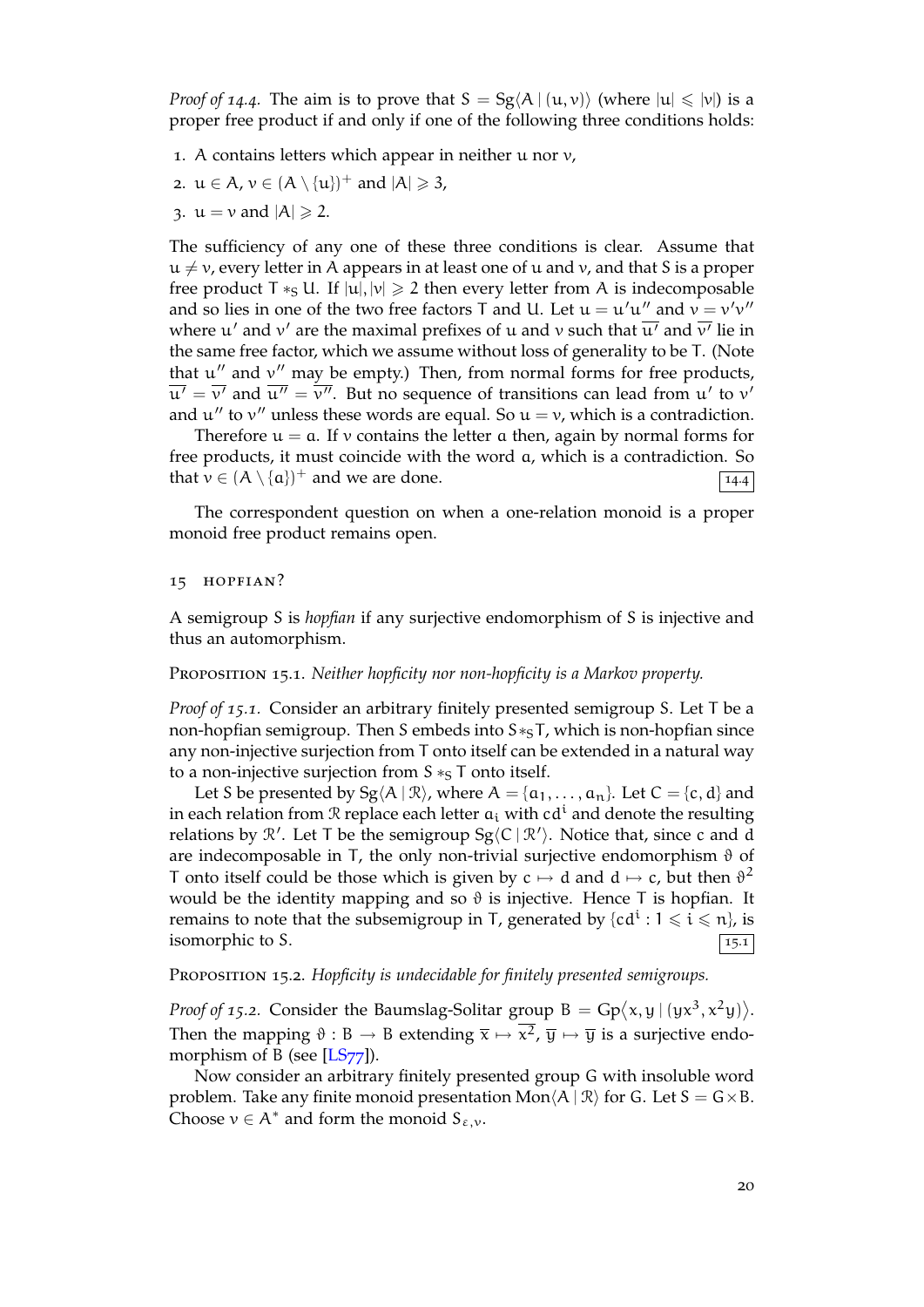*Proof of* 14.4. The aim is to prove that  $S = Sg\langle A | (u, v) \rangle$  (where  $|u| \le |v|$ ) is a proper free product if and only if one of the following three conditions holds:

- 1. A contains letters which appear in neither  $u$  nor  $v$ ,
- 2.  $u \in A$ ,  $v \in (A \setminus \{u\})^+$  and  $|A| \geq 3$ ,
- 3.  $u = v$  and  $|A| \ge 2$ .

The sufficiency of any one of these three conditions is clear. Assume that  $u \neq v$ , every letter in A appears in at least one of u and v, and that S is a proper free product T  $*_S U$ . If  $|u|, |v| \geq 2$  then every letter from A is indecomposable and so lies in one of the two free factors T and U. Let  $u = u'u''$  and  $v = v'v''$ where u *′* and v *′* are the maximal prefixes of u and v such that u*′* and v *′* lie in the same free factor, which we assume without loss of generality to be T. (Note that u *′′* and v *′′* may be empty.) Then, from normal forms for free products,  $u' = v'$  and  $u'' = v''$ . But no sequence of transitions can lead from  $u'$  to  $v'$ and  $u''$  to  $v''$  unless these words are equal. So  $u = v$ , which is a contradiction.

Therefore  $u = a$ . If v contains the letter a then, again by normal forms for free products, it must coincide with the word a, which is a contradiction. So that  $v \in (A \setminus \{a\})^+$  and we are done.

The correspondent question on when a one-relation monoid is a proper monoid free product remains open.

#### 15 hopfian?

A semigroup S is *hopfian* if any surjective endomorphism of S is injective and thus an automorphism.

## Proposition 15.1. *Neither hopficity nor non-hopficity is a Markov property.*

<span id="page-19-0"></span>*Proof of 15.1.* Consider an arbitrary finitely presented semigroup S. Let T be a non-hopfian semigroup. Then S embeds into S<sup>∗</sup><sub>S</sub>T, which is non-hopfian since any non-injective surjection from T onto itself can be extended in a natural way to a non-injective surjection from S <sup>∗</sup>S T onto itself.

Let S be presented by  $Sg\langle A | \mathcal{R} \rangle$ , where  $A = \{a_1, \ldots, a_n\}$ . Let  $C = \{c, d\}$  and in each relation from  $\Re$  replace each letter  $a_i$  with cd<sup>1</sup> and denote the resulting relations by R *′* . Let T be the semigroup Sg*⟨*C | R*′ ⟩*. Notice that, since c and d are indecomposable in T, the only non-trivial surjective endomorphism  $\vartheta$  of T onto itself could be those which is given by  $c \mapsto d$  and  $d \mapsto c$ , but then  $\vartheta^2$ would be the identity mapping and so  $\vartheta$  is injective. Hence T is hopfian. It remains to note that the subsemigroup in T, generated by  $\{cd^i: 1 \leqslant i \leqslant n\}$ , is isomorphic to S.  $\boxed{15.1}$ 

PROPOSITION 15.2. *Hopficity is undecidable for finitely presented semigroups.* 

*Proof of 15.2.* Consider the Baumslag-Solitar group  $B = \text{Gp}(x, y \mid (yx^3, x^2y))$ . Then the mapping  $\vartheta : B \to B$  extending  $\overline{x} \mapsto x^2$ ,  $\overline{y} \mapsto \overline{y}$  is a surjective endomorphism of B (see  $[LS77]$ ).

<span id="page-19-1"></span>Now consider an arbitrary finitely presented group G with insoluble word problem. Take any finite monoid presentation Mon $\langle A | R \rangle$  for G. Let  $S = G \times B$ . Choose  $v \in A^*$  and f[orm th](#page-21-10)e monoid  $S_{\varepsilon,v}$ .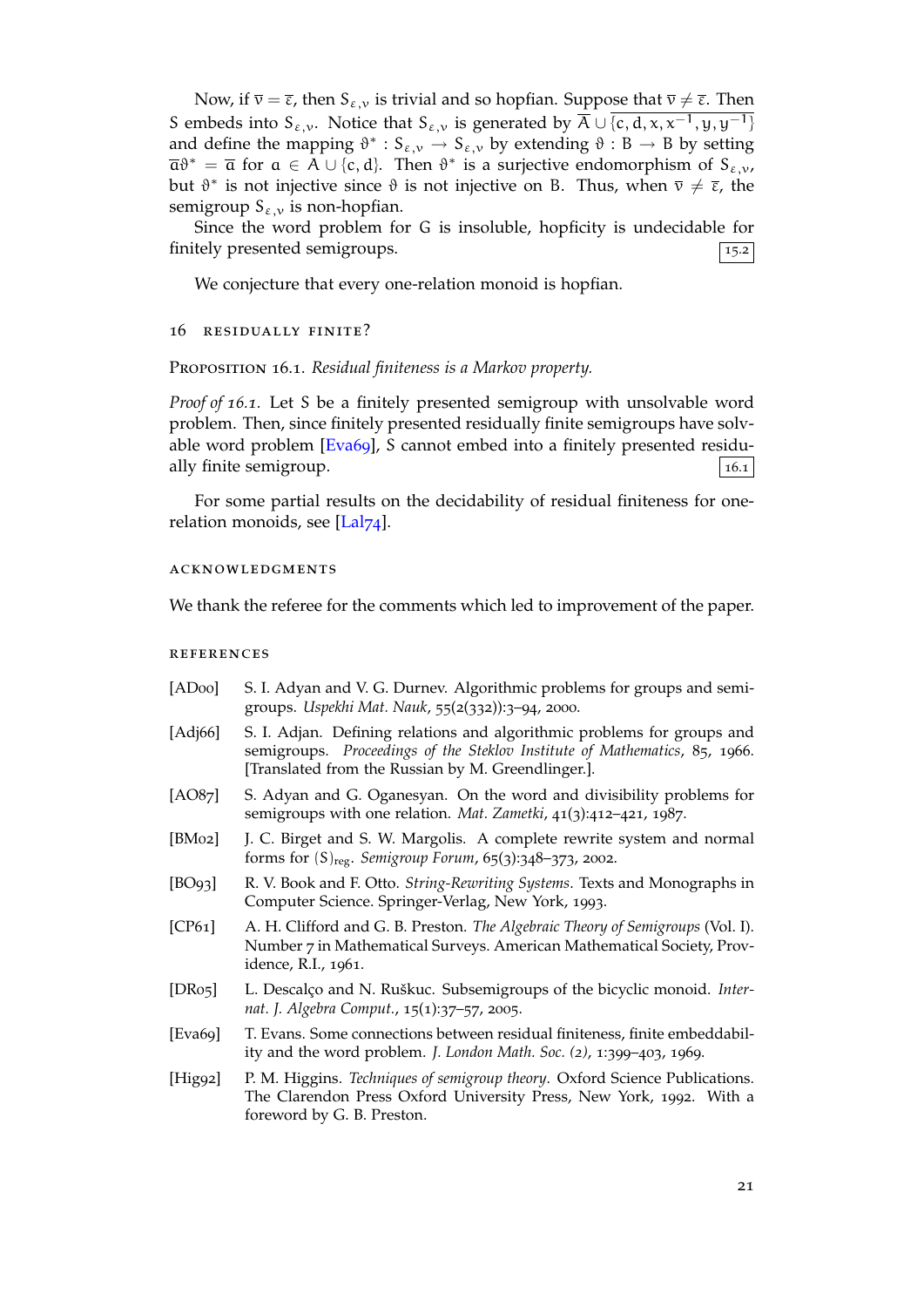Now, if  $\bar{v} = \bar{\varepsilon}$ , then  $S_{\varepsilon, v}$  is trivial and so hopfian. Suppose that  $\bar{v} \neq \bar{\varepsilon}$ . Then S embeds into S<sub>ε,v</sub>. Notice that S<sub>ε,v</sub> is generated by  $\overline{A} \cup \{c, d, x, x^{-1}, y, y^{-1}\}$ and define the mapping  $\vartheta^* : S_{\varepsilon,\nu} \to S_{\varepsilon,\nu}$  by extending  $\vartheta : B \to B$  by setting  $\overline{\mathfrak{a}}\vartheta^* = \overline{\mathfrak{a}}$  for  $\mathfrak{a} \in A \cup \{c, d\}$ . Then  $\vartheta^*$  is a surjective endomorphism of  $S_{\varepsilon,\nu}$ , but  $\vartheta^*$  is not injective since  $\vartheta$  is not injective on B. Thus, when  $\bar{v} \neq \bar{\epsilon}$ , the semigroup  $S_{\varepsilon,\nu}$  is non-hopfian.

Since the word problem for G is insoluble, hopficity is undecidable for finitely presented semigroups.  $\boxed{15.2}$ 

We conjecture that every one-relation monoid is hopfian.

#### 16 residually finite?

Proposition 16.1. *Residual finiteness is a Markov property.*

<span id="page-20-4"></span>*Proof of 16.1.* Let S be a finitely presented semigroup with unsolvable word problem. Then, since finitely presented residually finite semigroups have solvable word problem [Eva69], S cannot embed into a finitely presented residually finite semigroup.  $\boxed{16.1}$ 

For some partial results on the decidability of residual finiteness for onerelation monoids, se[e \[Lal](#page-20-9)74].

### acknowledgments

We thank the referee f[or the c](#page-21-3)omments which led to improvement of the paper.

#### **REFERENCES**

<span id="page-20-9"></span><span id="page-20-8"></span><span id="page-20-7"></span><span id="page-20-6"></span><span id="page-20-5"></span><span id="page-20-3"></span><span id="page-20-2"></span><span id="page-20-1"></span><span id="page-20-0"></span>

| [ADoo]              | S. I. Adyan and V. G. Durnev. Algorithmic problems for groups and semi-<br>groups. Uspekhi Mat. Nauk, 55(2(332)):3-94, 2000.                                                                                |
|---------------------|-------------------------------------------------------------------------------------------------------------------------------------------------------------------------------------------------------------|
| [ $Adj66$ ]         | S. I. Adjan. Defining relations and algorithmic problems for groups and<br>semigroups. Proceedings of the Steklov Institute of Mathematics, 85, 1966.<br>[Translated from the Russian by M. Greendlinger.]. |
| [AO87]              | S. Adyan and G. Oganesyan. On the word and divisibility problems for<br>semigroups with one relation. Mat. Zametki, 41(3):412-421, 1987.                                                                    |
| [BMo2]              | J. C. Birget and S. W. Margolis. A complete rewrite system and normal<br>forms for $(S)_{reg}$ . Semigroup Forum, 65(3):348-373, 2002.                                                                      |
| [BO93]              | R. V. Book and F. Otto. String-Rewriting Systems. Texts and Monographs in<br>Computer Science. Springer-Verlag, New York, 1993.                                                                             |
| [CP61]              | A. H. Clifford and G. B. Preston. The Algebraic Theory of Semigroups (Vol. I).<br>Number 7 in Mathematical Surveys. American Mathematical Society, Prov-<br>idence, R.I., 1961.                             |
| [DRo <sub>5</sub> ] | L. Descalço and N. Ruškuc. Subsemigroups of the bicyclic monoid. Inter-<br>nat. J. Algebra Comput., 15(1):37-57, 2005.                                                                                      |
| [Eva69]             | T. Evans. Some connections between residual finiteness, finite embeddabil-<br>ity and the word problem. <i>J. London Math. Soc.</i> (2), 1:399-403, 1969.                                                   |
| [Hig92]             | P. M. Higgins. Techniques of semigroup theory. Oxford Science Publications.<br>The Clarendon Press Oxford University Press, New York, 1992. With a<br>foreword by G. B. Preston.                            |